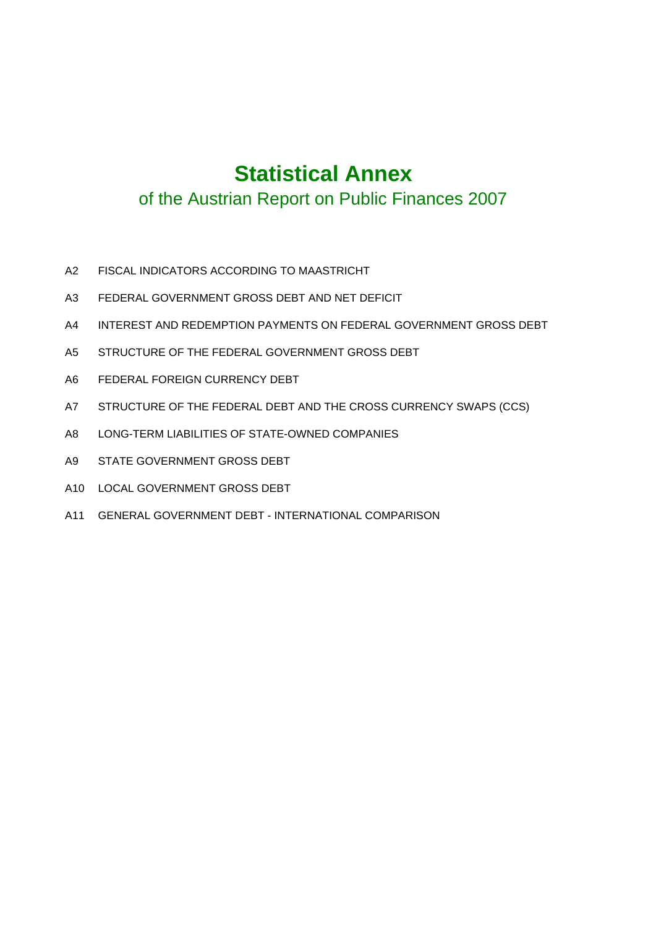# **Statistical Annex**

## of the Austrian Report on Public Finances 2007

- A2 FISCAL INDICATORS ACCORDING TO MAASTRICHT
- A3 FEDERAL GOVERNMENT GROSS DEBT AND NET DEFICIT
- A4 INTEREST AND REDEMPTION PAYMENTS ON FEDERAL GOVERNMENT GROSS DEBT
- A5 STRUCTURE OF THE FEDERAL GOVERNMENT GROSS DEBT
- A6 FEDERAL FOREIGN CURRENCY DEBT
- A7 STRUCTURE OF THE FEDERAL DEBT AND THE CROSS CURRENCY SWAPS (CCS)
- A8 LONG-TERM LIABILITIES OF STATE-OWNED COMPANIES
- A9 STATE GOVERNMENT GROSS DEBT
- A10 LOCAL GOVERNMENT GROSS DEBT
- A11 GENERAL GOVERNMENT DEBT INTERNATIONAL COMPARISON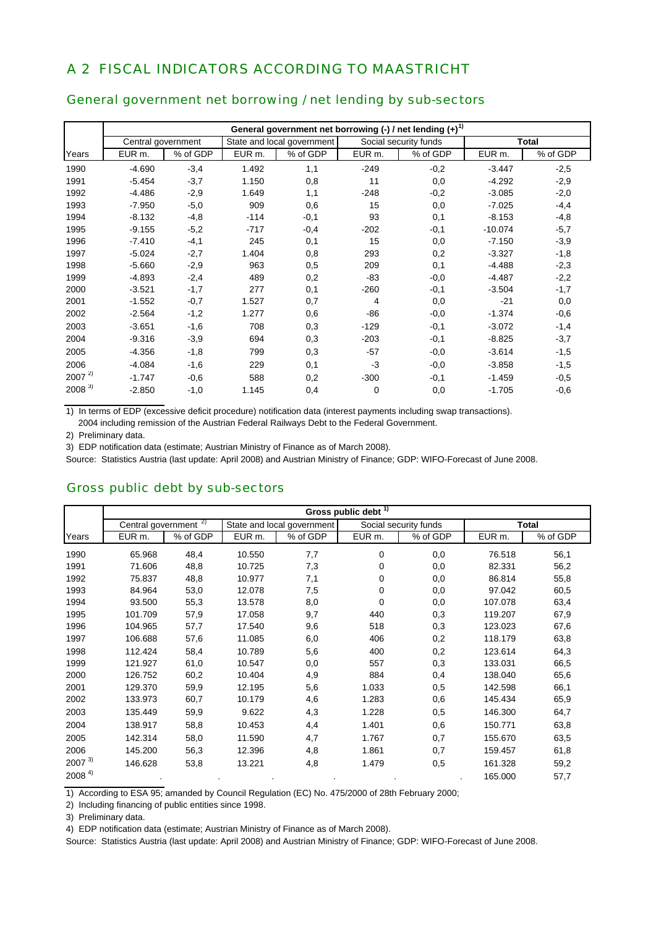### A 2 FISCAL INDICATORS ACCORDING TO MAASTRICHT

#### General government net borrowing / net lending by sub-sectors

|            |                    |          |        |                            |        | General government net borrowing $\left(\frac{1}{2}\right)$ net lending $\left(\frac{1}{2}\right)^{1}$ |           |              |
|------------|--------------------|----------|--------|----------------------------|--------|--------------------------------------------------------------------------------------------------------|-----------|--------------|
|            | Central government |          |        | State and local government |        | Social security funds                                                                                  |           | <b>Total</b> |
| Years      | EUR m.             | % of GDP | EUR m. | % of GDP                   | EUR m. | % of GDP                                                                                               | EUR m.    | % of GDP     |
| 1990       | $-4.690$           | $-3,4$   | 1.492  | 1,1                        | $-249$ | $-0,2$                                                                                                 | $-3.447$  | $-2,5$       |
| 1991       | $-5.454$           | $-3,7$   | 1.150  | 0,8                        | 11     | 0,0                                                                                                    | $-4.292$  | $-2,9$       |
| 1992       | $-4.486$           | $-2,9$   | 1.649  | 1,1                        | $-248$ | $-0,2$                                                                                                 | $-3.085$  | $-2,0$       |
| 1993       | $-7.950$           | $-5,0$   | 909    | 0,6                        | 15     | 0,0                                                                                                    | $-7.025$  | $-4,4$       |
| 1994       | $-8.132$           | $-4,8$   | $-114$ | $-0,1$                     | 93     | 0,1                                                                                                    | $-8.153$  | $-4,8$       |
| 1995       | $-9.155$           | $-5,2$   | $-717$ | $-0,4$                     | $-202$ | $-0,1$                                                                                                 | $-10.074$ | $-5,7$       |
| 1996       | $-7.410$           | $-4,1$   | 245    | 0,1                        | 15     | 0,0                                                                                                    | $-7.150$  | $-3,9$       |
| 1997       | $-5.024$           | $-2,7$   | 1.404  | 0,8                        | 293    | 0,2                                                                                                    | $-3.327$  | $-1,8$       |
| 1998       | $-5.660$           | $-2,9$   | 963    | 0,5                        | 209    | 0,1                                                                                                    | $-4.488$  | $-2,3$       |
| 1999       | $-4.893$           | $-2,4$   | 489    | 0,2                        | $-83$  | $-0,0$                                                                                                 | $-4.487$  | $-2,2$       |
| 2000       | $-3.521$           | $-1,7$   | 277    | 0,1                        | $-260$ | $-0,1$                                                                                                 | $-3.504$  | $-1,7$       |
| 2001       | $-1.552$           | $-0,7$   | 1.527  | 0,7                        | 4      | 0,0                                                                                                    | $-21$     | 0,0          |
| 2002       | $-2.564$           | $-1,2$   | 1.277  | 0,6                        | $-86$  | $-0,0$                                                                                                 | $-1.374$  | $-0,6$       |
| 2003       | $-3.651$           | $-1,6$   | 708    | 0,3                        | $-129$ | $-0,1$                                                                                                 | $-3.072$  | $-1,4$       |
| 2004       | $-9.316$           | $-3,9$   | 694    | 0,3                        | $-203$ | $-0,1$                                                                                                 | $-8.825$  | $-3,7$       |
| 2005       | $-4.356$           | $-1,8$   | 799    | 0,3                        | $-57$  | $-0,0$                                                                                                 | $-3.614$  | $-1,5$       |
| 2006       | $-4.084$           | $-1,6$   | 229    | 0,1                        | $-3$   | $-0,0$                                                                                                 | $-3.858$  | $-1,5$       |
| $2007^{2}$ | $-1.747$           | $-0.6$   | 588    | 0,2                        | $-300$ | $-0,1$                                                                                                 | $-1.459$  | $-0,5$       |
| $2008^{3}$ | $-2.850$           | $-1,0$   | 1.145  | 0,4                        | 0      | 0,0                                                                                                    | $-1.705$  | $-0,6$       |

1) In terms of EDP (excessive deficit procedure) notification data (interest payments including swap transactions).

2004 including remission of the Austrian Federal Railways Debt to the Federal Government.

2) Preliminary data.

3) EDP notification data (estimate; Austrian Ministry of Finance as of March 2008).

Source: Statistics Austria (last update: April 2008) and Austrian Ministry of Finance; GDP: WIFO-Forecast of June 2008.

#### Gross public debt by sub-sectors

|                      | Gross public debt $\overline{1}$ |          |                    |                            |        |                       |                   |              |  |  |  |
|----------------------|----------------------------------|----------|--------------------|----------------------------|--------|-----------------------|-------------------|--------------|--|--|--|
|                      | Central government <sup>2)</sup> |          |                    | State and local government |        | Social security funds |                   | <b>Total</b> |  |  |  |
| Years                | EUR m.                           | % of GDP | EUR <sub>m</sub> . | % of GDP                   | EUR m. | % of GDP              | EUR <sub>m.</sub> | % of GDP     |  |  |  |
| 1990                 | 65.968                           | 48,4     | 10.550             | 7,7                        | 0      | 0,0                   | 76.518            | 56,1         |  |  |  |
| 1991                 | 71.606                           | 48,8     | 10.725             | 7,3                        | 0      | 0,0                   | 82.331            | 56,2         |  |  |  |
| 1992                 | 75.837                           | 48,8     | 10.977             | 7,1                        | 0      | 0,0                   | 86.814            | 55,8         |  |  |  |
| 1993                 | 84.964                           | 53,0     | 12.078             | 7,5                        | 0      | 0,0                   | 97.042            | 60,5         |  |  |  |
| 1994                 | 93.500                           | 55,3     | 13.578             | 8,0                        | 0      | 0,0                   | 107.078           | 63,4         |  |  |  |
| 1995                 | 101.709                          | 57,9     | 17.058             | 9,7                        | 440    | 0,3                   | 119.207           | 67,9         |  |  |  |
| 1996                 | 104.965                          | 57,7     | 17.540             | 9,6                        | 518    | 0,3                   | 123.023           | 67,6         |  |  |  |
| 1997                 | 106.688                          | 57,6     | 11.085             | 6,0                        | 406    | 0,2                   | 118.179           | 63,8         |  |  |  |
| 1998                 | 112.424                          | 58,4     | 10.789             | 5,6                        | 400    | 0,2                   | 123.614           | 64,3         |  |  |  |
| 1999                 | 121.927                          | 61,0     | 10.547             | 0,0                        | 557    | 0,3                   | 133.031           | 66,5         |  |  |  |
| 2000                 | 126.752                          | 60,2     | 10.404             | 4,9                        | 884    | 0,4                   | 138.040           | 65,6         |  |  |  |
| 2001                 | 129.370                          | 59,9     | 12.195             | 5,6                        | 1.033  | 0,5                   | 142.598           | 66,1         |  |  |  |
| 2002                 | 133.973                          | 60,7     | 10.179             | 4,6                        | 1.283  | 0,6                   | 145.434           | 65,9         |  |  |  |
| 2003                 | 135.449                          | 59,9     | 9.622              | 4,3                        | 1.228  | 0,5                   | 146.300           | 64,7         |  |  |  |
| 2004                 | 138.917                          | 58,8     | 10.453             | 4,4                        | 1.401  | 0,6                   | 150.771           | 63,8         |  |  |  |
| 2005                 | 142.314                          | 58,0     | 11.590             | 4,7                        | 1.767  | 0,7                   | 155.670           | 63,5         |  |  |  |
| 2006                 | 145.200                          | 56,3     | 12.396             | 4,8                        | 1.861  | 0,7                   | 159.457           | 61,8         |  |  |  |
| $2007^{3}$           | 146.628                          | 53,8     | 13.221             | 4,8                        | 1.479  | 0,5                   | 161.328           | 59,2         |  |  |  |
| $2008$ <sup>4)</sup> |                                  |          |                    |                            |        |                       | 165.000           | 57,7         |  |  |  |

1) According to ESA 95; amanded by Council Regulation (EC) No. 475/2000 of 28th February 2000;

2) Including financing of public entities since 1998.

3) Preliminary data.

4) EDP notification data (estimate; Austrian Ministry of Finance as of March 2008).

Source: Statistics Austria (last update: April 2008) and Austrian Ministry of Finance; GDP: WIFO-Forecast of June 2008.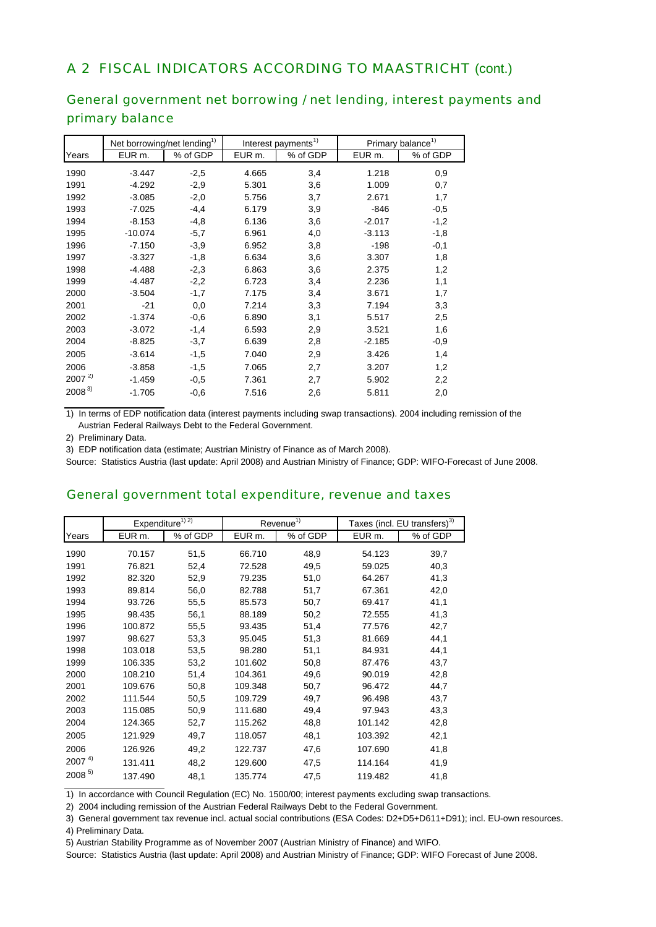### A 2 FISCAL INDICATORS ACCORDING TO MAASTRICHT (cont.)

### General government net borrowing / net lending, interest payments and primary balance

|            | Net borrowing/net lending <sup>1)</sup> |          |        | Interest payments <sup>1)</sup> | Primary balance <sup>1)</sup> |          |
|------------|-----------------------------------------|----------|--------|---------------------------------|-------------------------------|----------|
| Years      | EUR m.                                  | % of GDP | EUR m. | % of GDP                        | EUR m.                        | % of GDP |
| 1990       | $-3.447$                                | $-2,5$   | 4.665  | 3,4                             | 1.218                         | 0,9      |
| 1991       | $-4.292$                                | $-2,9$   | 5.301  | 3,6                             | 1.009                         | 0,7      |
| 1992       | $-3.085$                                | $-2,0$   | 5.756  | 3,7                             | 2.671                         | 1,7      |
| 1993       | $-7.025$                                | $-4,4$   | 6.179  | 3,9                             | $-846$                        | $-0,5$   |
| 1994       | $-8.153$                                | $-4,8$   | 6.136  | 3,6                             | $-2.017$                      | $-1,2$   |
| 1995       | $-10.074$                               | $-5,7$   | 6.961  | 4,0                             | $-3.113$                      | $-1,8$   |
| 1996       | $-7.150$                                | $-3,9$   | 6.952  | 3,8                             | $-198$                        | $-0,1$   |
| 1997       | $-3.327$                                | $-1,8$   | 6.634  | 3,6                             | 3.307                         | 1,8      |
| 1998       | $-4.488$                                | $-2,3$   | 6.863  | 3,6                             | 2.375                         | 1,2      |
| 1999       | $-4.487$                                | $-2,2$   | 6.723  | 3,4                             | 2.236                         | 1,1      |
| 2000       | $-3.504$                                | $-1,7$   | 7.175  | 3,4                             | 3.671                         | 1,7      |
| 2001       | $-21$                                   | 0,0      | 7.214  | 3,3                             | 7.194                         | 3,3      |
| 2002       | $-1.374$                                | $-0,6$   | 6.890  | 3,1                             | 5.517                         | 2,5      |
| 2003       | $-3.072$                                | $-1,4$   | 6.593  | 2,9                             | 3.521                         | 1,6      |
| 2004       | $-8.825$                                | $-3,7$   | 6.639  | 2,8                             | $-2.185$                      | $-0,9$   |
| 2005       | $-3.614$                                | $-1,5$   | 7.040  | 2,9                             | 3.426                         | 1,4      |
| 2006       | $-3.858$                                | $-1,5$   | 7.065  | 2,7                             | 3.207                         | 1,2      |
| $2007^{2}$ | $-1.459$                                | $-0,5$   | 7.361  | 2,7                             | 5.902                         | 2,2      |
| $2008^{3}$ | $-1.705$                                | $-0,6$   | 7.516  | 2,6                             | 5.811                         | 2,0      |

1) In terms of EDP notification data (interest payments including swap transactions). 2004 including remission of the Austrian Federal Railways Debt to the Federal Government.

2) Preliminary Data.

3) EDP notification data (estimate; Austrian Ministry of Finance as of March 2008).

Source: Statistics Austria (last update: April 2008) and Austrian Ministry of Finance; GDP: WIFO-Forecast of June 2008.

#### General government total expenditure, revenue and taxes

|            | Expenditure <sup>1)</sup> $\overline{2}$ |          |                   | Revenue <sup>1)</sup> |         | Taxes (incl. EU transfers) <sup>3)</sup> |
|------------|------------------------------------------|----------|-------------------|-----------------------|---------|------------------------------------------|
| Years      | EUR m.                                   | % of GDP | EUR <sub>m.</sub> | % of GDP              | EUR m.  | % of GDP                                 |
| 1990       | 70.157                                   | 51,5     | 66.710            | 48,9                  | 54.123  | 39,7                                     |
| 1991       | 76.821                                   | 52,4     | 72.528            | 49,5                  | 59.025  | 40,3                                     |
| 1992       | 82.320                                   | 52,9     | 79.235            | 51,0                  | 64.267  | 41,3                                     |
| 1993       | 89.814                                   | 56,0     | 82.788            | 51,7                  | 67.361  | 42,0                                     |
| 1994       | 93.726                                   | 55,5     | 85.573            | 50,7                  | 69.417  | 41,1                                     |
| 1995       | 98.435                                   | 56,1     | 88.189            | 50,2                  | 72.555  | 41,3                                     |
| 1996       | 100.872                                  | 55,5     | 93.435            | 51,4                  | 77.576  | 42,7                                     |
| 1997       | 98.627                                   | 53,3     | 95.045            | 51,3                  | 81.669  | 44,1                                     |
| 1998       | 103.018                                  | 53,5     | 98.280            | 51,1                  | 84.931  | 44,1                                     |
| 1999       | 106.335                                  | 53,2     | 101.602           | 50,8                  | 87.476  | 43,7                                     |
| 2000       | 108.210                                  | 51,4     | 104.361           | 49,6                  | 90.019  | 42,8                                     |
| 2001       | 109.676                                  | 50,8     | 109.348           | 50,7                  | 96.472  | 44,7                                     |
| 2002       | 111.544                                  | 50,5     | 109.729           | 49,7                  | 96.498  | 43,7                                     |
| 2003       | 115.085                                  | 50,9     | 111.680           | 49,4                  | 97.943  | 43,3                                     |
| 2004       | 124.365                                  | 52,7     | 115.262           | 48,8                  | 101.142 | 42,8                                     |
| 2005       | 121.929                                  | 49,7     | 118.057           | 48,1                  | 103.392 | 42,1                                     |
| 2006       | 126.926                                  | 49,2     | 122.737           | 47,6                  | 107.690 | 41,8                                     |
| $2007^{4}$ | 131.411                                  | 48,2     | 129.600           | 47,5                  | 114.164 | 41,9                                     |
| $2008^{5}$ | 137.490                                  | 48,1     | 135.774           | 47,5                  | 119.482 | 41,8                                     |

1) In accordance with Council Regulation (EC) No. 1500/00; interest payments excluding swap transactions.

2) 2004 including remission of the Austrian Federal Railways Debt to the Federal Government.

3) General government tax revenue incl. actual social contributions (ESA Codes: D2+D5+D611+D91); incl. EU-own resources.

4) Preliminary Data.

5) Austrian Stability Programme as of November 2007 (Austrian Ministry of Finance) and WIFO.

Source: Statistics Austria (last update: April 2008) and Austrian Ministry of Finance; GDP: WIFO Forecast of June 2008.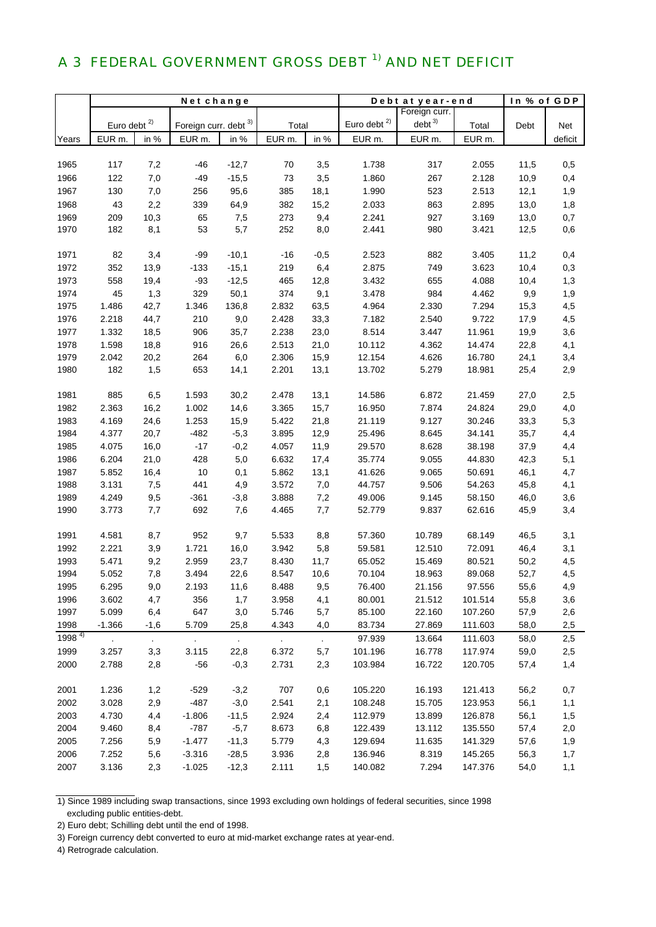# A 3 FEDERAL GOVERNMENT GROSS DEBT <sup>1)</sup> AND NET DEFICIT

|            | Net change              |           |                             |         |        |                | Debt at year-end |                   | In % of GDP |      |         |
|------------|-------------------------|-----------|-----------------------------|---------|--------|----------------|------------------|-------------------|-------------|------|---------|
|            |                         |           |                             |         |        |                |                  | Foreign curr.     |             |      |         |
|            | Euro debt <sup>2)</sup> |           | Foreign curr. debt 3)       |         | Total  |                | Euro debt $2)$   | debt <sup>3</sup> | Total       | Debt | Net     |
| Years      | EUR m.                  | in %      | EUR m.                      | in %    | EUR m. | in %           | EUR m.           | EUR m.            | EUR m.      |      | deficit |
|            |                         |           |                             |         |        |                |                  |                   |             |      |         |
| 1965       | 117                     | 7,2       | -46                         | $-12,7$ | 70     | 3,5            | 1.738            | 317               | 2.055       | 11,5 | 0,5     |
| 1966       | 122                     | 7,0       | $-49$                       | $-15,5$ | 73     | 3,5            | 1.860            | 267               | 2.128       | 10,9 | 0,4     |
| 1967       | 130                     | 7,0       | 256                         | 95,6    | 385    | 18,1           | 1.990            | 523               | 2.513       | 12,1 | 1,9     |
| 1968       | 43                      | 2,2       | 339                         | 64,9    | 382    | 15,2           | 2.033            | 863               | 2.895       | 13,0 | 1,8     |
| 1969       | 209                     | 10,3      | 65                          | 7,5     | 273    | 9,4            | 2.241            | 927               | 3.169       | 13,0 | 0,7     |
| 1970       | 182                     | 8,1       | 53                          | 5,7     | 252    | 8,0            | 2.441            | 980               | 3.421       | 12,5 | 0,6     |
|            |                         |           |                             |         |        |                |                  |                   |             |      |         |
| 1971       | 82                      | 3,4       | $-99$                       | $-10,1$ | $-16$  | $-0,5$         | 2.523            | 882               | 3.405       | 11,2 | 0,4     |
| 1972       | 352                     | 13,9      | $-133$                      | $-15,1$ | 219    | 6,4            | 2.875            | 749               | 3.623       | 10,4 | 0,3     |
| 1973       | 558                     | 19,4      | $-93$                       | $-12,5$ | 465    | 12,8           | 3.432            | 655               | 4.088       | 10,4 | 1,3     |
| 1974       | 45                      | 1,3       | 329                         | 50,1    | 374    | 9,1            | 3.478            | 984               | 4.462       | 9,9  | 1,9     |
| 1975       | 1.486                   | 42,7      | 1.346                       | 136,8   | 2.832  | 63,5           | 4.964            | 2.330             | 7.294       | 15,3 | 4,5     |
| 1976       | 2.218                   | 44,7      | 210                         | 9,0     | 2.428  | 33,3           | 7.182            | 2.540             | 9.722       | 17,9 | 4,5     |
| 1977       | 1.332                   | 18,5      | 906                         | 35,7    | 2.238  | 23,0           | 8.514            | 3.447             | 11.961      | 19,9 | 3,6     |
| 1978       | 1.598                   | 18,8      | 916                         | 26,6    | 2.513  | 21,0           | 10.112           | 4.362             | 14.474      | 22,8 | 4,1     |
| 1979       | 2.042                   | 20,2      | 264                         | 6,0     | 2.306  | 15,9           | 12.154           | 4.626             | 16.780      | 24,1 | 3,4     |
| 1980       | 182                     | 1,5       | 653                         | 14,1    | 2.201  | 13,1           | 13.702           | 5.279             | 18.981      | 25,4 | 2,9     |
|            |                         |           |                             |         |        |                |                  |                   |             |      |         |
| 1981       | 885                     | 6,5       | 1.593                       | 30,2    | 2.478  | 13,1           | 14.586           | 6.872             | 21.459      | 27,0 | 2,5     |
| 1982       | 2.363                   | 16,2      | 1.002                       | 14,6    | 3.365  | 15,7           | 16.950           | 7.874             | 24.824      | 29,0 | 4,0     |
| 1983       | 4.169                   | 24,6      | 1.253                       | 15,9    | 5.422  | 21,8           | 21.119           | 9.127             | 30.246      | 33,3 | 5,3     |
| 1984       | 4.377                   | 20,7      | $-482$                      | $-5,3$  | 3.895  | 12,9           | 25.496           | 8.645             | 34.141      | 35,7 | 4,4     |
| 1985       | 4.075                   | 16,0      | $-17$                       | $-0,2$  | 4.057  | 11,9           | 29.570           | 8.628             | 38.198      | 37,9 | 4,4     |
| 1986       | 6.204                   | 21,0      | 428                         | 5,0     | 6.632  | 17,4           | 35.774           | 9.055             | 44.830      | 42,3 | 5,1     |
| 1987       | 5.852                   | 16,4      | $10$                        | 0,1     | 5.862  | 13,1           | 41.626           | 9.065             | 50.691      | 46,1 | 4,7     |
| 1988       | 3.131                   | 7,5       | 441                         | 4,9     | 3.572  | 7,0            | 44.757           | 9.506             | 54.263      | 45,8 | 4,1     |
| 1989       | 4.249                   | 9,5       | $-361$                      | $-3,8$  | 3.888  | 7,2            | 49.006           | 9.145             | 58.150      | 46,0 | 3,6     |
| 1990       | 3.773                   | 7,7       | 692                         | 7,6     | 4.465  | 7,7            | 52.779           | 9.837             | 62.616      | 45,9 | 3,4     |
|            |                         |           |                             |         |        |                |                  |                   |             |      |         |
| 1991       | 4.581                   | 8,7       | 952                         | 9,7     | 5.533  | 8,8            | 57.360           | 10.789            | 68.149      | 46,5 | 3,1     |
| 1992       | 2.221                   | 3,9       | 1.721                       | 16,0    | 3.942  | 5,8            | 59.581           | 12.510            | 72.091      | 46,4 | 3,1     |
| 1993       | 5.471                   | 9,2       | 2.959                       | 23,7    | 8.430  | 11,7           | 65.052           | 15.469            | 80.521      | 50,2 | 4,5     |
| 1994       | 5.052                   | 7,8       | 3.494                       | 22,6    | 8.547  | 10,6           | 70.104           | 18.963            | 89.068      | 52,7 | 4,5     |
| 1995       | 6.295                   | 9,0       | 2.193                       | 11,6    | 8.488  | 9,5            | 76.400           | 21.156            | 97.556      | 55,6 | 4,9     |
| 1996       | 3.602                   | 4,7       | 356                         | 1,7     | 3.958  | 4,1            | 80.001           | 21.512            | 101.514     | 55,8 | 3,6     |
| 1997       | 5.099                   | 6,4       | 647                         | 3,0     | 5.746  | 5,7            | 85.100           | 22.160            | 107.260     | 57,9 | 2,6     |
| 1998       | $-1.366$                | $-1,6$    | 5.709                       | 25,8    | 4.343  | 4,0            | 83.734           | 27.869            | 111.603     | 58,0 | 2,5     |
| $1998^{4}$ | $\bullet$               | $\bullet$ | $\mathcal{L}_{\mathcal{A}}$ | $\sim$  | $\sim$ | $\blacksquare$ | 97.939           | 13.664            | 111.603     | 58,0 | 2,5     |
| 1999       | 3.257                   | 3,3       | 3.115                       | 22,8    | 6.372  | 5,7            | 101.196          | 16.778            | 117.974     | 59,0 | 2,5     |
| 2000       | 2.788                   | 2,8       | $-56$                       | $-0,3$  | 2.731  | 2,3            | 103.984          | 16.722            | 120.705     | 57,4 | 1,4     |
|            |                         |           |                             |         |        |                |                  |                   |             |      |         |
| 2001       | 1.236                   | 1,2       | $-529$                      | $-3,2$  | 707    | 0,6            | 105.220          | 16.193            | 121.413     | 56,2 | 0,7     |
| 2002       | 3.028                   | 2,9       | $-487$                      | $-3,0$  | 2.541  | 2,1            | 108.248          | 15.705            | 123.953     | 56,1 | 1,1     |
| 2003       | 4.730                   | 4,4       | $-1.806$                    | $-11,5$ | 2.924  | 2,4            | 112.979          | 13.899            | 126.878     | 56,1 | 1,5     |
| 2004       | 9.460                   | 8,4       | $-787$                      | $-5,7$  | 8.673  | 6,8            | 122.439          | 13.112            | 135.550     | 57,4 | 2,0     |
| 2005       | 7.256                   | 5,9       | $-1.477$                    | $-11,3$ | 5.779  | 4,3            | 129.694          | 11.635            | 141.329     | 57,6 | 1,9     |
| 2006       | 7.252                   | 5,6       | $-3.316$                    | $-28,5$ | 3.936  | 2,8            | 136.946          | 8.319             | 145.265     | 56,3 | 1,7     |
| 2007       | 3.136                   | 2,3       | $-1.025$                    | $-12,3$ | 2.111  | 1,5            | 140.082          | 7.294             | 147.376     | 54,0 | 1,1     |
|            |                         |           |                             |         |        |                |                  |                   |             |      |         |

1) Since 1989 including swap transactions, since 1993 excluding own holdings of federal securities, since 1998 excluding public entities-debt.

3) Foreign currency debt converted to euro at mid-market exchange rates at year-end.

4) Retrograde calculation.

<sup>2)</sup> Euro debt; Schilling debt until the end of 1998.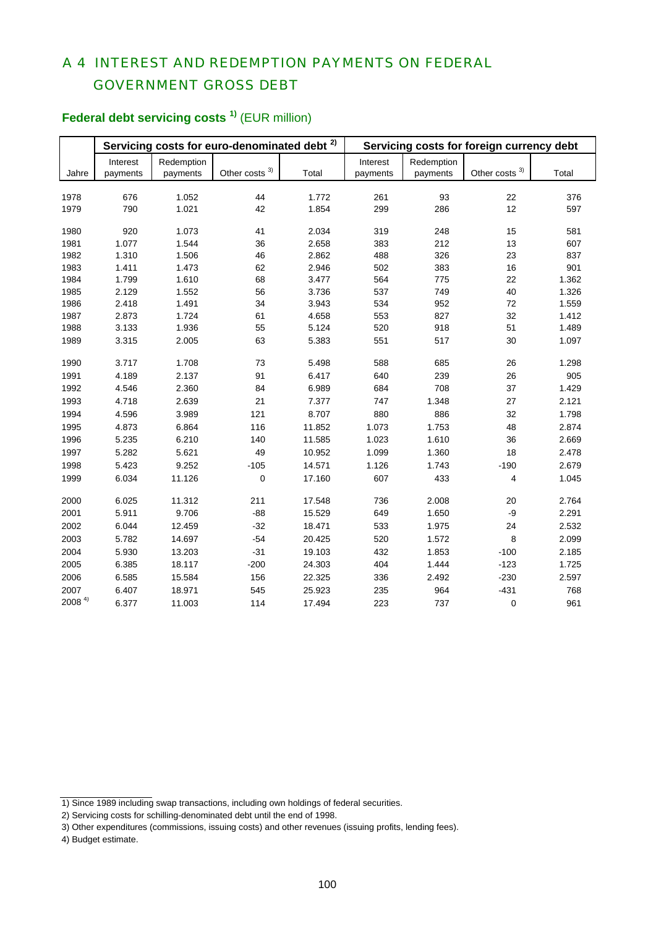## A 4 INTEREST AND REDEMPTION PAYMENTS ON FEDERAL GOVERNMENT GROSS DEBT

# **Federal debt servicing costs<sup>1)</sup>** (EUR million)

|                   |          |            | Servicing costs for euro-denominated debt | 2)     | Servicing costs for foreign currency debt |            |                  |       |  |  |
|-------------------|----------|------------|-------------------------------------------|--------|-------------------------------------------|------------|------------------|-------|--|--|
|                   | Interest | Redemption |                                           |        | Interest                                  | Redemption |                  |       |  |  |
| Jahre             | payments | payments   | Other costs $3)$                          | Total  | payments                                  | payments   | Other costs $3)$ | Total |  |  |
|                   |          |            |                                           |        |                                           |            |                  |       |  |  |
| 1978              | 676      | 1.052      | 44                                        | 1.772  | 261                                       | 93         | 22               | 376   |  |  |
| 1979              | 790      | 1.021      | 42                                        | 1.854  | 299                                       | 286        | 12               | 597   |  |  |
| 1980              | 920      | 1.073      | 41                                        | 2.034  | 319                                       | 248        | 15               | 581   |  |  |
| 1981              | 1.077    | 1.544      | 36                                        | 2.658  | 383                                       | 212        | 13               | 607   |  |  |
| 1982              | 1.310    | 1.506      | 46                                        | 2.862  | 488                                       | 326        | 23               | 837   |  |  |
| 1983              | 1.411    | 1.473      | 62                                        | 2.946  | 502                                       | 383        | 16               | 901   |  |  |
| 1984              | 1.799    | 1.610      | 68                                        | 3.477  | 564                                       | 775        | 22               | 1.362 |  |  |
| 1985              | 2.129    | 1.552      | 56                                        | 3.736  | 537                                       | 749        | 40               | 1.326 |  |  |
| 1986              | 2.418    | 1.491      | 34                                        | 3.943  | 534                                       | 952        | $72\,$           | 1.559 |  |  |
| 1987              | 2.873    | 1.724      | 61                                        | 4.658  | 553                                       | 827        | 32               | 1.412 |  |  |
| 1988              | 3.133    | 1.936      | 55                                        | 5.124  | 520                                       | 918        | 51               | 1.489 |  |  |
| 1989              | 3.315    | 2.005      | 63                                        | 5.383  | 551                                       | 517        | 30               | 1.097 |  |  |
| 1990              | 3.717    | 1.708      | 73                                        | 5.498  | 588                                       | 685        | 26               | 1.298 |  |  |
| 1991              | 4.189    | 2.137      | 91                                        | 6.417  | 640                                       | 239        | 26               | 905   |  |  |
| 1992              | 4.546    | 2.360      | 84                                        | 6.989  | 684                                       | 708        | 37               | 1.429 |  |  |
| 1993              | 4.718    | 2.639      | 21                                        | 7.377  | 747                                       | 1.348      | 27               | 2.121 |  |  |
| 1994              | 4.596    | 3.989      | 121                                       | 8.707  | 880                                       | 886        | 32               | 1.798 |  |  |
| 1995              | 4.873    | 6.864      | 116                                       | 11.852 | 1.073                                     | 1.753      | 48               | 2.874 |  |  |
| 1996              | 5.235    | 6.210      | 140                                       | 11.585 | 1.023                                     | 1.610      | 36               | 2.669 |  |  |
| 1997              | 5.282    | 5.621      | 49                                        | 10.952 | 1.099                                     | 1.360      | 18               | 2.478 |  |  |
| 1998              | 5.423    | 9.252      | $-105$                                    | 14.571 | 1.126                                     | 1.743      | $-190$           | 2.679 |  |  |
| 1999              | 6.034    | 11.126     | $\pmb{0}$                                 | 17.160 | 607                                       | 433        | 4                | 1.045 |  |  |
| 2000              | 6.025    | 11.312     | 211                                       | 17.548 | 736                                       | 2.008      | 20               | 2.764 |  |  |
| 2001              | 5.911    | 9.706      | $-88$                                     | 15.529 | 649                                       | 1.650      | $-9$             | 2.291 |  |  |
| 2002              | 6.044    | 12.459     | $-32$                                     | 18.471 | 533                                       | 1.975      | 24               | 2.532 |  |  |
| 2003              | 5.782    | 14.697     | $-54$                                     | 20.425 | 520                                       | 1.572      | 8                | 2.099 |  |  |
| 2004              | 5.930    | 13.203     | $-31$                                     | 19.103 | 432                                       | 1.853      | $-100$           | 2.185 |  |  |
| 2005              | 6.385    | 18.117     | $-200$                                    | 24.303 | 404                                       | 1.444      | $-123$           | 1.725 |  |  |
| 2006              | 6.585    | 15.584     | 156                                       | 22.325 | 336                                       | 2.492      | $-230$           | 2.597 |  |  |
| 2007              | 6.407    | 18.971     | 545                                       | 25.923 | 235                                       | 964        | $-431$           | 768   |  |  |
| 2008 <sup>4</sup> | 6.377    | 11.003     | 114                                       | 17.494 | 223                                       | 737        | $\pmb{0}$        | 961   |  |  |

<sup>1)</sup> Since 1989 including swap transactions, including own holdings of federal securities.

<sup>2)</sup> Servicing costs for schilling-denominated debt until the end of 1998.

<sup>3)</sup> Other expenditures (commissions, issuing costs) and other revenues (issuing profits, lending fees).

<sup>4)</sup> Budget estimate.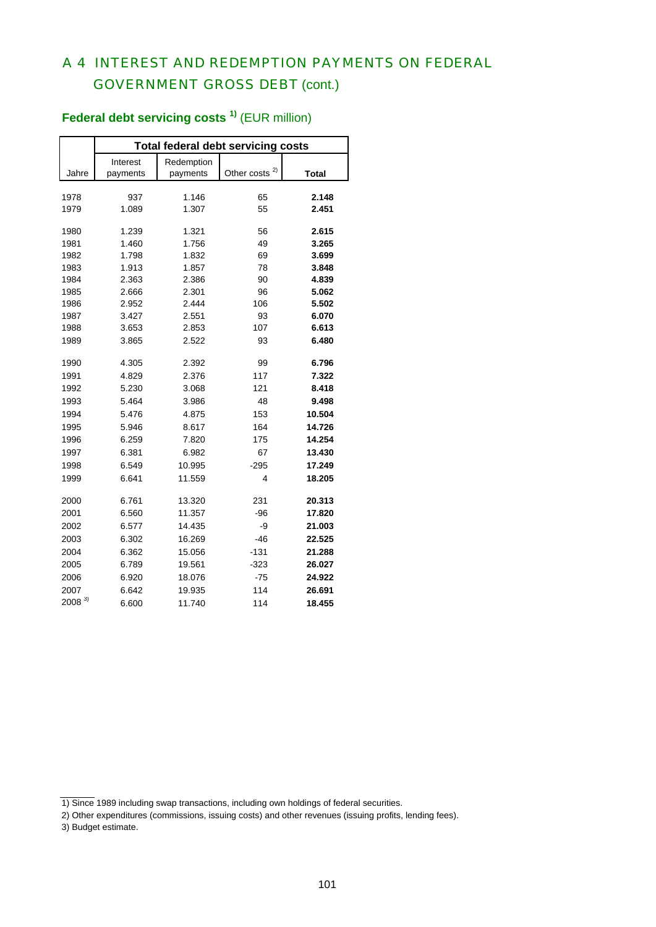## A 4 INTEREST AND REDEMPTION PAYMENTS ON FEDERAL GOVERNMENT GROSS DEBT (cont.)

|                    | <b>Total federal debt servicing costs</b> |            |                   |        |  |  |  |  |  |  |  |
|--------------------|-------------------------------------------|------------|-------------------|--------|--|--|--|--|--|--|--|
|                    | Interest                                  | Redemption |                   |        |  |  |  |  |  |  |  |
| Jahre              | payments                                  | payments   | 2)<br>Other costs | Total  |  |  |  |  |  |  |  |
|                    |                                           |            |                   |        |  |  |  |  |  |  |  |
| 1978               | 937                                       | 1.146      | 65                | 2.148  |  |  |  |  |  |  |  |
| 1979               | 1.089                                     | 1.307      | 55                | 2.451  |  |  |  |  |  |  |  |
| 1980               | 1.239                                     | 1.321      | 56                | 2.615  |  |  |  |  |  |  |  |
| 1981               | 1.460                                     | 1.756      | 49                | 3.265  |  |  |  |  |  |  |  |
| 1982               | 1.798                                     | 1.832      | 69                | 3.699  |  |  |  |  |  |  |  |
| 1983               | 1.913                                     | 1.857      | 78                | 3.848  |  |  |  |  |  |  |  |
| 1984               | 2.363                                     | 2.386      | 90                | 4.839  |  |  |  |  |  |  |  |
| 1985               | 2.666                                     | 2.301      | 96                | 5.062  |  |  |  |  |  |  |  |
| 1986               | 2.952                                     | 2.444      | 106               | 5.502  |  |  |  |  |  |  |  |
| 1987               | 3.427                                     | 2.551      | 93                | 6.070  |  |  |  |  |  |  |  |
| 1988               | 3.653                                     | 2.853      | 107               | 6.613  |  |  |  |  |  |  |  |
| 1989               | 3.865                                     | 2.522      | 93                | 6.480  |  |  |  |  |  |  |  |
| 1990               | 4.305                                     | 2.392      | 99                | 6.796  |  |  |  |  |  |  |  |
| 1991               | 4.829                                     | 2.376      | 117               | 7.322  |  |  |  |  |  |  |  |
| 1992               | 5.230                                     | 3.068      | 121               | 8.418  |  |  |  |  |  |  |  |
| 1993               | 5.464                                     | 3.986      | 48                | 9.498  |  |  |  |  |  |  |  |
| 1994               | 5.476                                     | 4.875      | 153               | 10.504 |  |  |  |  |  |  |  |
| 1995               | 5.946                                     | 8.617      | 164               | 14.726 |  |  |  |  |  |  |  |
| 1996               | 6.259                                     | 7.820      | 175               | 14.254 |  |  |  |  |  |  |  |
| 1997               | 6.381                                     | 6.982      | 67                | 13.430 |  |  |  |  |  |  |  |
| 1998               | 6.549                                     | 10.995     | $-295$            | 17.249 |  |  |  |  |  |  |  |
| 1999               | 6.641                                     | 11.559     | 4                 | 18.205 |  |  |  |  |  |  |  |
| 2000               | 6.761                                     | 13.320     | 231               | 20.313 |  |  |  |  |  |  |  |
| 2001               | 6.560                                     | 11.357     | $-96$             | 17.820 |  |  |  |  |  |  |  |
| 2002               | 6.577                                     | 14.435     | -9                | 21.003 |  |  |  |  |  |  |  |
| 2003               | 6.302                                     | 16.269     | $-46$             | 22.525 |  |  |  |  |  |  |  |
| 2004               | 6.362                                     | 15.056     | $-131$            | 21.288 |  |  |  |  |  |  |  |
| 2005               | 6.789                                     | 19.561     | $-323$            | 26.027 |  |  |  |  |  |  |  |
| 2006               | 6.920                                     | 18.076     | $-75$             | 24.922 |  |  |  |  |  |  |  |
|                    |                                           |            |                   |        |  |  |  |  |  |  |  |
| 2007<br>$2008^{3}$ | 6.642                                     | 19.935     | 114               | 26.691 |  |  |  |  |  |  |  |
|                    | 6.600                                     | 11.740     | 114               | 18.455 |  |  |  |  |  |  |  |

# **Federal debt servicing costs<sup>1)</sup> (EUR million)**

<sup>1)</sup> Since 1989 including swap transactions, including own holdings of federal securities.

<sup>2)</sup> Other expenditures (commissions, issuing costs) and other revenues (issuing profits, lending fees).

<sup>3)</sup> Budget estimate.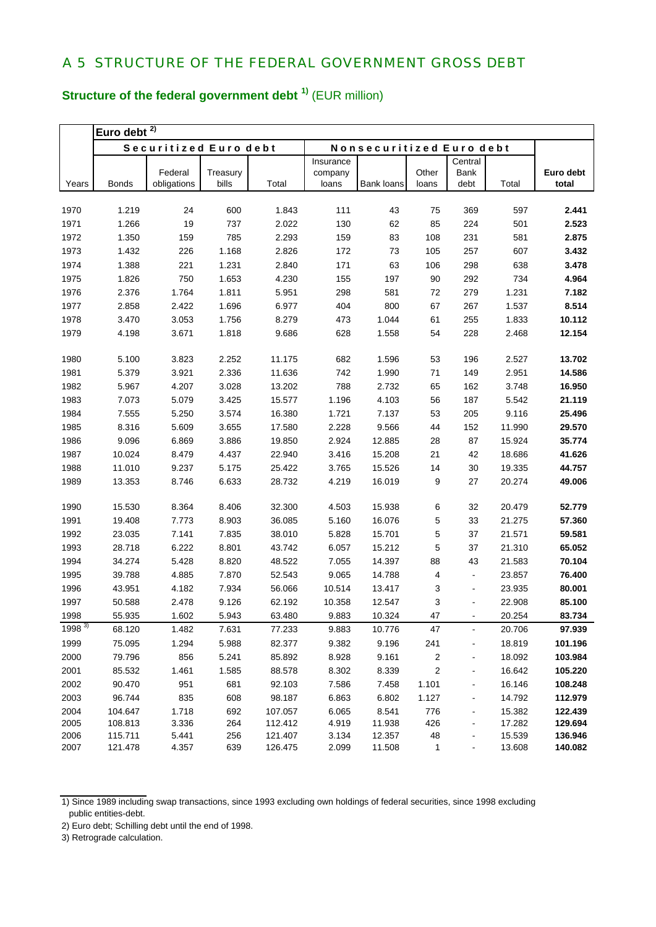# **Structure of the federal government debt 1)** (EUR million)

|              | Euro debt $2$    |                       |                |                  |                |                          |         |                          |                  |                  |
|--------------|------------------|-----------------------|----------------|------------------|----------------|--------------------------|---------|--------------------------|------------------|------------------|
|              |                  | Securitized Euro debt |                |                  |                | Nonsecuritized Euro debt |         |                          |                  |                  |
|              |                  |                       |                |                  | Insurance      |                          |         | Central                  |                  |                  |
|              |                  | Federal               | Treasury       |                  | company        | <b>Bank loans</b>        | Other   | Bank                     |                  | Euro debt        |
| Years        | <b>Bonds</b>     | obligations           | bills          | Total            | loans          |                          | loans   | debt                     | Total            | total            |
| 1970         | 1.219            | 24                    | 600            | 1.843            | 111            | 43                       | 75      | 369                      | 597              | 2.441            |
| 1971         | 1.266            | 19                    | 737            | 2.022            | 130            | 62                       | 85      | 224                      | 501              | 2.523            |
| 1972         | 1.350            | 159                   | 785            | 2.293            | 159            | 83                       | 108     | 231                      | 581              | 2.875            |
| 1973         | 1.432            | 226                   | 1.168          | 2.826            | 172            | 73                       | 105     | 257                      | 607              | 3.432            |
| 1974         | 1.388            | 221                   | 1.231          | 2.840            | 171            | 63                       | 106     | 298                      | 638              | 3.478            |
| 1975         | 1.826            | 750                   | 1.653          | 4.230            | 155            | 197                      | 90      | 292                      | 734              | 4.964            |
| 1976         | 2.376            | 1.764                 | 1.811          | 5.951            | 298            | 581                      | 72      | 279                      | 1.231            | 7.182            |
| 1977         | 2.858            | 2.422                 | 1.696          | 6.977            | 404            | 800                      | 67      | 267                      | 1.537            | 8.514            |
| 1978         | 3.470            | 3.053                 | 1.756          | 8.279            | 473            | 1.044                    | 61      | 255                      | 1.833            | 10.112           |
| 1979         | 4.198            | 3.671                 | 1.818          | 9.686            | 628            | 1.558                    | 54      | 228                      | 2.468            | 12.154           |
|              |                  |                       |                |                  |                |                          |         |                          |                  |                  |
| 1980         | 5.100            | 3.823                 | 2.252          | 11.175           | 682            | 1.596                    | 53      | 196                      | 2.527            | 13.702           |
| 1981         | 5.379            | 3.921                 | 2.336          | 11.636           | 742            | 1.990                    | 71      | 149                      | 2.951            | 14.586           |
| 1982         | 5.967            | 4.207                 | 3.028          | 13.202           | 788            | 2.732                    | 65      | 162                      | 3.748            | 16.950           |
| 1983         | 7.073            | 5.079                 | 3.425          | 15.577           | 1.196          | 4.103                    | 56      | 187                      | 5.542            | 21.119           |
| 1984         | 7.555            | 5.250                 | 3.574          | 16.380           | 1.721          | 7.137                    | 53      | 205                      | 9.116            | 25.496           |
| 1985         | 8.316            | 5.609                 | 3.655          | 17.580           | 2.228          | 9.566                    | 44      | 152                      | 11.990           | 29.570           |
| 1986         | 9.096            | 6.869                 | 3.886          | 19.850           | 2.924          | 12.885                   | 28      | 87                       | 15.924           | 35.774           |
| 1987         | 10.024           | 8.479                 | 4.437          | 22.940           | 3.416          | 15.208                   | 21      | 42                       | 18.686           | 41.626           |
| 1988         | 11.010           | 9.237                 | 5.175          | 25.422           | 3.765          | 15.526                   | 14      | 30                       | 19.335           | 44.757           |
| 1989         | 13.353           | 8.746                 | 6.633          | 28.732           | 4.219          | 16.019                   | 9       | 27                       | 20.274           | 49.006           |
|              |                  |                       |                |                  |                |                          |         |                          |                  |                  |
| 1990         | 15.530           | 8.364                 | 8.406          | 32.300           | 4.503          | 15.938                   | 6       | 32                       | 20.479           | 52.779           |
| 1991         | 19.408           | 7.773                 | 8.903          | 36.085           | 5.160          | 16.076                   | 5       | 33                       | 21.275           | 57.360           |
| 1992         | 23.035           | 7.141                 | 7.835          | 38.010           | 5.828          | 15.701                   | 5       | 37                       | 21.571           | 59.581<br>65.052 |
| 1993         | 28.718           | 6.222                 | 8.801          | 43.742<br>48.522 | 6.057          | 15.212                   | 5       | 37                       | 21.310           |                  |
| 1994<br>1995 | 34.274<br>39.788 | 5.428<br>4.885        | 8.820<br>7.870 | 52.543           | 7.055<br>9.065 | 14.397<br>14.788         | 88<br>4 | 43<br>$\blacksquare$     | 21.583<br>23.857 | 70.104<br>76.400 |
| 1996         | 43.951           | 4.182                 | 7.934          | 56.066           | 10.514         | 13.417                   | 3       |                          | 23.935           | 80.001           |
| 1997         | 50.588           | 2.478                 | 9.126          | 62.192           | 10.358         | 12.547                   | 3       | $\blacksquare$           | 22.908           | 85.100           |
| 1998         | 55.935           | 1.602                 | 5.943          | 63.480           | 9.883          | 10.324                   | 47      | -                        | 20.254           | 83.734           |
| $1998^{3}$   | 68.120           | 1.482                 | 7.631          | 77.233           | 9.883          | 10.776                   | 47      | $\overline{a}$           | 20.706           | 97.939           |
| 1999         | 75.095           | 1.294                 | 5.988          | 82.377           | 9.382          | 9.196                    | 241     |                          | 18.819           | 101.196          |
| 2000         | 79.796           | 856                   | 5.241          | 85.892           | 8.928          | 9.161                    | 2       |                          | 18.092           | 103.984          |
| 2001         | 85.532           | 1.461                 | 1.585          | 88.578           | 8.302          | 8.339                    | 2       | -                        | 16.642           | 105.220          |
| 2002         | 90.470           | 951                   | 681            | 92.103           | 7.586          | 7.458                    | 1.101   | -                        | 16.146           | 108.248          |
| 2003         | 96.744           | 835                   | 608            | 98.187           | 6.863          | 6.802                    | 1.127   | -                        | 14.792           | 112.979          |
| 2004         | 104.647          | 1.718                 | 692            | 107.057          | 6.065          | 8.541                    | 776     | $\overline{\phantom{0}}$ | 15.382           | 122.439          |
| 2005         | 108.813          | 3.336                 | 264            | 112.412          | 4.919          | 11.938                   | 426     |                          | 17.282           | 129.694          |
| 2006         | 115.711          | 5.441                 | 256            | 121.407          | 3.134          | 12.357                   | 48      |                          | 15.539           | 136.946          |
| 2007         | 121.478          | 4.357                 | 639            | 126.475          | 2.099          | 11.508                   | 1       | $\blacksquare$           | 13.608           | 140.082          |

1) Since 1989 including swap transactions, since 1993 excluding own holdings of federal securities, since 1998 excluding public entities-debt.

<sup>2)</sup> Euro debt; Schilling debt until the end of 1998.

<sup>3)</sup> Retrograde calculation.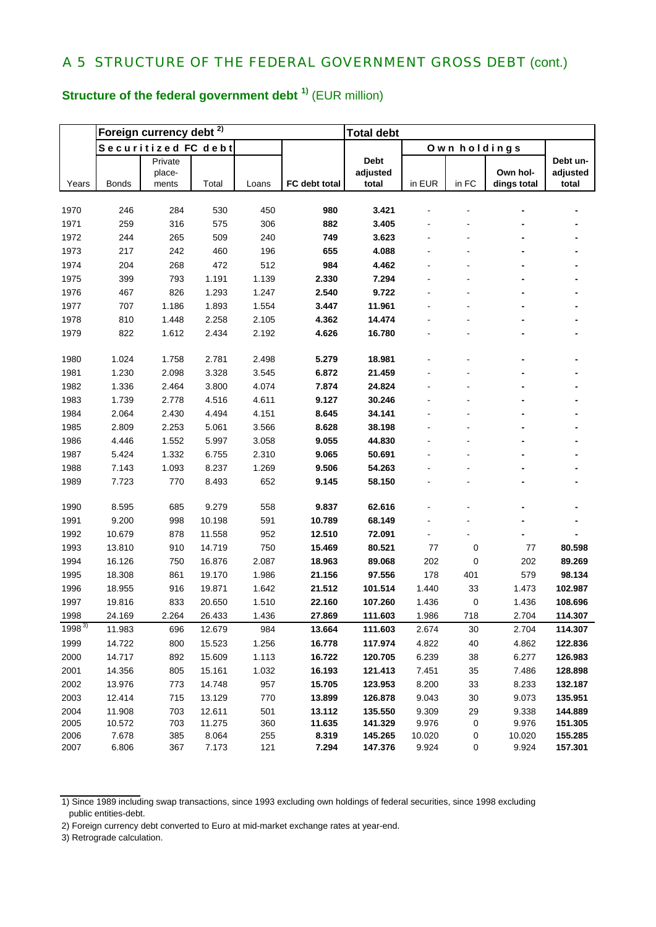# **Structure of the federal government debt 1)** (EUR million)

|            |              | Foreign currency debt <sup>2)</sup> |        |       |               | <b>Total debt</b> |        |              |             |          |  |
|------------|--------------|-------------------------------------|--------|-------|---------------|-------------------|--------|--------------|-------------|----------|--|
|            |              | Securitized FC debt                 |        |       |               |                   |        | Own holdings |             |          |  |
|            |              | Private                             |        |       |               | <b>Debt</b>       |        |              |             | Debt un- |  |
|            |              | place-                              |        |       |               | adjusted          |        |              | Own hol-    | adjusted |  |
| Years      | <b>Bonds</b> | ments                               | Total  | Loans | FC debt total | total             | in EUR | in FC        | dings total | total    |  |
| 1970       | 246          | 284                                 | 530    | 450   | 980           | 3.421             |        |              |             |          |  |
| 1971       | 259          | 316                                 | 575    | 306   | 882           | 3.405             |        |              |             |          |  |
| 1972       | 244          | 265                                 | 509    | 240   | 749           | 3.623             |        |              |             |          |  |
| 1973       | 217          | 242                                 | 460    | 196   | 655           | 4.088             |        |              |             |          |  |
| 1974       | 204          | 268                                 | 472    | 512   | 984           | 4.462             |        |              |             |          |  |
| 1975       | 399          | 793                                 | 1.191  | 1.139 | 2.330         | 7.294             |        |              |             |          |  |
| 1976       | 467          | 826                                 | 1.293  | 1.247 | 2.540         | 9.722             |        |              |             |          |  |
| 1977       | 707          | 1.186                               | 1.893  | 1.554 | 3.447         | 11.961            |        |              |             |          |  |
| 1978       | 810          | 1.448                               | 2.258  | 2.105 | 4.362         | 14.474            |        |              |             |          |  |
| 1979       | 822          | 1.612                               | 2.434  | 2.192 | 4.626         | 16.780            |        |              |             |          |  |
|            |              |                                     |        |       |               |                   |        |              |             |          |  |
| 1980       | 1.024        | 1.758                               | 2.781  | 2.498 | 5.279         | 18.981            |        |              |             |          |  |
| 1981       | 1.230        | 2.098                               | 3.328  | 3.545 | 6.872         | 21.459            |        |              |             |          |  |
| 1982       | 1.336        | 2.464                               | 3.800  | 4.074 | 7.874         | 24.824            |        |              |             |          |  |
| 1983       | 1.739        | 2.778                               | 4.516  | 4.611 | 9.127         | 30.246            |        |              |             |          |  |
| 1984       | 2.064        | 2.430                               | 4.494  | 4.151 | 8.645         | 34.141            |        |              |             |          |  |
| 1985       | 2.809        | 2.253                               | 5.061  | 3.566 | 8.628         | 38.198            |        |              |             |          |  |
| 1986       | 4.446        | 1.552                               | 5.997  | 3.058 | 9.055         | 44.830            |        |              |             |          |  |
| 1987       | 5.424        | 1.332                               | 6.755  | 2.310 | 9.065         | 50.691            |        |              |             |          |  |
| 1988       | 7.143        | 1.093                               | 8.237  | 1.269 | 9.506         | 54.263            |        |              |             |          |  |
| 1989       | 7.723        | 770                                 | 8.493  | 652   | 9.145         | 58.150            |        |              |             |          |  |
| 1990       | 8.595        | 685                                 | 9.279  | 558   | 9.837         | 62.616            |        |              |             |          |  |
| 1991       | 9.200        | 998                                 | 10.198 | 591   | 10.789        | 68.149            |        |              |             |          |  |
| 1992       | 10.679       | 878                                 | 11.558 | 952   | 12.510        | 72.091            |        |              |             |          |  |
| 1993       | 13.810       | 910                                 | 14.719 | 750   | 15.469        | 80.521            | 77     | 0            | 77          | 80.598   |  |
| 1994       | 16.126       | 750                                 | 16.876 | 2.087 | 18.963        | 89.068            | 202    | 0            | 202         | 89.269   |  |
| 1995       | 18.308       | 861                                 | 19.170 | 1.986 | 21.156        | 97.556            | 178    | 401          | 579         | 98.134   |  |
| 1996       | 18.955       | 916                                 | 19.871 | 1.642 | 21.512        | 101.514           | 1.440  | 33           | 1.473       | 102.987  |  |
| 1997       | 19.816       | 833                                 | 20.650 | 1.510 | 22.160        | 107.260           | 1.436  | 0            | 1.436       | 108.696  |  |
| 1998       | 24.169       | 2.264                               | 26.433 | 1.436 | 27.869        | 111.603           | 1.986  | 718          | 2.704       | 114.307  |  |
| $1998^{3}$ | 11.983       | 696                                 | 12.679 | 984   | 13.664        | 111.603           | 2.674  | 30           | 2.704       | 114.307  |  |
| 1999       | 14.722       | 800                                 | 15.523 | 1.256 | 16.778        | 117.974           | 4.822  | 40           | 4.862       | 122.836  |  |
| 2000       | 14.717       | 892                                 | 15.609 | 1.113 | 16.722        | 120.705           | 6.239  | 38           | 6.277       | 126.983  |  |
| 2001       | 14.356       | 805                                 | 15.161 | 1.032 | 16.193        | 121.413           | 7.451  | 35           | 7.486       | 128.898  |  |
| 2002       | 13.976       | 773                                 | 14.748 | 957   | 15.705        | 123.953           | 8.200  | 33           | 8.233       | 132.187  |  |
| 2003       | 12.414       | 715                                 | 13.129 | 770   | 13.899        | 126.878           | 9.043  | 30           | 9.073       | 135.951  |  |
| 2004       | 11.908       | 703                                 | 12.611 | 501   | 13.112        | 135.550           | 9.309  | 29           | 9.338       | 144.889  |  |
| 2005       | 10.572       | 703                                 | 11.275 | 360   | 11.635        | 141.329           | 9.976  | 0            | 9.976       | 151.305  |  |
| 2006       | 7.678        | 385                                 | 8.064  | 255   | 8.319         | 145.265           | 10.020 | 0            | 10.020      | 155.285  |  |
| 2007       | 6.806        | 367                                 | 7.173  | 121   | 7.294         | 147.376           | 9.924  | 0            | 9.924       | 157.301  |  |

<sup>1)</sup> Since 1989 including swap transactions, since 1993 excluding own holdings of federal securities, since 1998 excluding public entities-debt.

3) Retrograde calculation.

<sup>2)</sup> Foreign currency debt converted to Euro at mid-market exchange rates at year-end.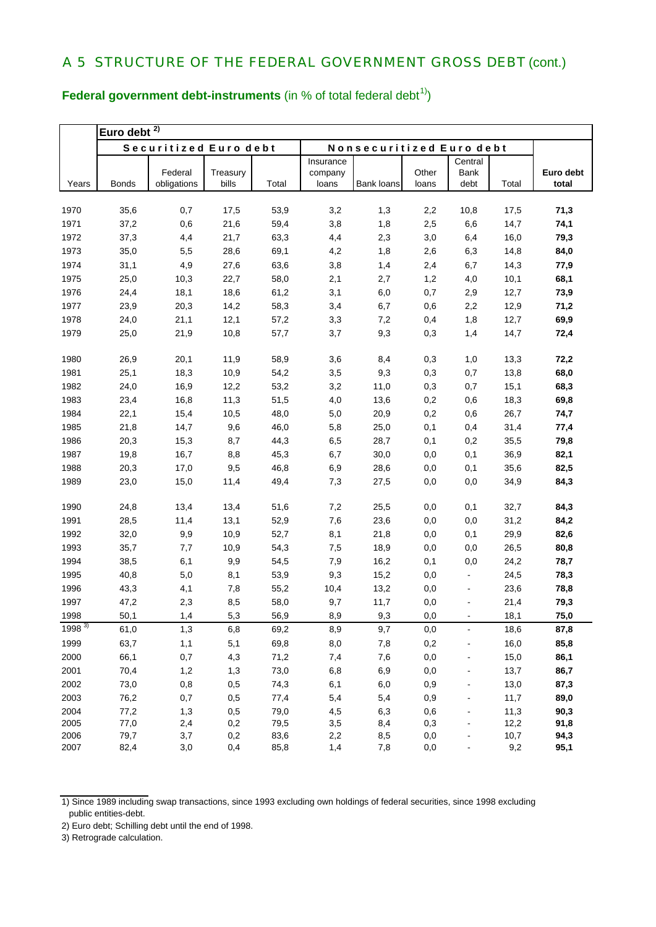**Euro debt 2)** Years Bonds Federal obligations **Treasury** bills Total **Insurance** company loans Bank loans **Other** loans **Central** Bank debt Total **Euro debt total** 1970 35,6 0,7 17,5 53,9 3,2 1,3 2,2 10,8 17,5 **71,3**  1971 37,2 0,6 21,6 59,4 3,8 1,8 2,5 6,6 14,7 **74,1**  1972 37,3 4,4 21,7 63,3 4,4 2,3 3,0 6,4 16,0 **79,3**  1973 35,0 5,5 28,6 69,1 4,2 1,8 2,6 6,3 14,8 **84,0**  1974 31,1 4,9 27,6 63,6 3,8 1,4 2,4 6,7 14,3 **77,9**  1975 25,0 10,3 22,7 58,0 2,1 2,7 1,2 4,0 10,1 **68,1**  1976 24,4 18,1 18,6 61,2 3,1 6,0 0,7 2,9 12,7 **73,9**  1977 23,9 20,3 14,2 58,3 3,4 6,7 0,6 2,2 12,9 **71,2**  1978 24,0 21,1 12,1 57,2 3,3 7,2 0,4 1,8 12,7 **69,9**  1979 25,0 21,9 10,8 57,7 3,7 9,3 0,3 1,4 14,7 **72,4**  1980 26,9 20,1 11,9 58,9 3,6 8,4 0,3 1,0 13,3 **72,2**  1981 25,1 18,3 10,9 54,2 3,5 9,3 0,3 0,7 13,8 **68,0**  1982 24,0 16,9 12,2 53,2 3,2 11,0 0,3 0,7 15,1 **68,3**  1983 23,4 16,8 11,3 51,5 4,0 13,6 0,2 0,6 18,3 **69,8**  1984 22,1 15,4 10,5 48,0 5,0 20,9 0,2 0,6 26,7 **74,7**  1985 21,8 14,7 9,6 46,0 5,8 25,0 0,1 0,4 31,4 **77,4**  1986 20,3 15,3 8,7 44,3 6,5 28,7 0,1 0,2 35,5 **79,8**  1987 19,8 16,7 8,8 45,3 6,7 30,0 0,0 0,1 36,9 **82,1**  1988 20,3 17,0 9,5 46,8 6,9 28,6 0,0 0,1 35,6 **82,5**  1989 23,0 15,0 11,4 49,4 7,3 27,5 0,0 0,0 34,9 **84,3**  1990 24,8 13,4 13,4 51,6 7,2 25,5 0,0 0,1 32,7 **84,3**  1991 28,5 11,4 13,1 52,9 7,6 23,6 0,0 0,0 31,2 **84,2**  1992 32,0 9,9 10,9 52,7 8,1 21,8 0,0 0,1 29,9 **82,6**  1993 35,7 7,7 10,9 54,3 7,5 18,9 0,0 0,0 26,5 **80,8**  1994 38,5 6,1 9,9 54,5 7,9 16,2 0,1 0,0 24,2 **78,7**  1995 40,8 5,0 8,1 53,9 9,3 15,2 0,0 - 24,5 **78,3**  1996 43,3 4,1 7,8 55,2 10,4 13,2 0,0 - 23,6 **78,8**  1997 47,2 2,3 8,5 58,0 9,7 11,7 0,0 - 21,4 **79,3**  1998 50,1 1,4 5,3 56,9 8,9 9,3 0,0 - 18,1 **75,0**  1998 3) 61,0 1,3 6,8 69,2 8,9 9,7 0,0 - 18,6 **87,8**  1999 63,7 1,1 5,1 69,8 8,0 7,8 0,2 - 16,0 **85,8**  2000 66,1 0,7 4,3 71,2 7,4 7,6 0,0 - 15,0 **86,1**  2001 70,4 1,2 1,3 73,0 6,8 6,9 0,0 - 13,7 **86,7**  2002 73,0 0,8 0,5 74,3 6,1 6,0 0,9 - 13,0 **87,3**  2003 76,2 0,7 0,5 77,4 5,4 5,4 0,9 - 11,7 **89,0**  2004 77,2 1,3 0,5 79,0 4,5 6,3 0,6 - 11,3 **90,3**  2005 77,0 2,4 0,2 79,5 3,5 8,4 0,3 - 12,2 **91,8**  2006 79,7 3,7 0,2 83,6 2,2 8,5 0,0 - 10,7 **94,3**  2007 82,4 3,0 0,4 85,8 1,4 7,8 0,0 - 9,2 **95,1**  Securitized Euro debt | Nonsecuritized Euro debt

**Federal government debt-instruments** (in  $%$  of total federal debt<sup>1)</sup>)

<sup>1)</sup> Since 1989 including swap transactions, since 1993 excluding own holdings of federal securities, since 1998 excluding public entities-debt.

<sup>2)</sup> Euro debt; Schilling debt until the end of 1998.

<sup>3)</sup> Retrograde calculation.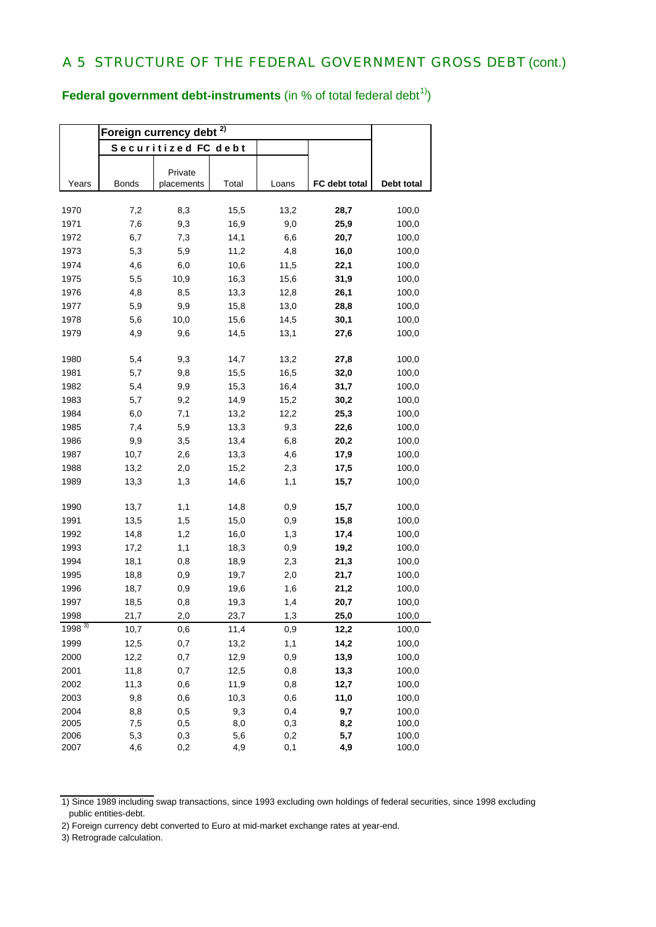**Federal government debt-instruments** (in % of total federal debt<sup>1)</sup>)

|            | Foreign currency debt |                       |       |       |               |            |
|------------|-----------------------|-----------------------|-------|-------|---------------|------------|
|            |                       | Securitized FC debt   |       |       |               |            |
|            |                       |                       |       |       |               |            |
| Years      | <b>Bonds</b>          | Private<br>placements | Total | Loans | FC debt total | Debt total |
|            |                       |                       |       |       |               |            |
| 1970       | 7,2                   | 8,3                   | 15,5  | 13,2  | 28,7          | 100,0      |
| 1971       | 7,6                   | 9,3                   | 16,9  | 9,0   | 25,9          | 100,0      |
| 1972       | 6,7                   | 7,3                   | 14,1  | 6,6   | 20,7          | 100,0      |
| 1973       | 5,3                   | 5,9                   | 11,2  | 4,8   | 16,0          | 100,0      |
| 1974       | 4,6                   | 6,0                   | 10,6  | 11,5  | 22,1          | 100,0      |
| 1975       | 5,5                   | 10,9                  | 16,3  | 15,6  | 31,9          | 100,0      |
| 1976       | 4,8                   | 8,5                   | 13,3  | 12,8  | 26,1          | 100,0      |
| 1977       | 5,9                   | 9,9                   | 15,8  | 13,0  | 28,8          | 100,0      |
| 1978       | 5,6                   | 10,0                  | 15,6  | 14,5  | 30,1          | 100,0      |
| 1979       | 4,9                   | 9,6                   | 14,5  | 13,1  | 27,6          | 100,0      |
| 1980       | 5,4                   | 9,3                   | 14,7  | 13,2  | 27,8          | 100,0      |
| 1981       | 5,7                   | 9,8                   | 15,5  | 16,5  | 32,0          | 100,0      |
| 1982       | 5,4                   | 9,9                   | 15,3  | 16,4  | 31,7          | 100,0      |
| 1983       | 5,7                   | 9,2                   | 14,9  | 15,2  | 30,2          | 100,0      |
| 1984       | 6,0                   | 7,1                   | 13,2  | 12,2  | 25,3          | 100,0      |
| 1985       | 7,4                   | 5,9                   | 13,3  | 9,3   | 22,6          | 100,0      |
| 1986       | 9,9                   | 3,5                   | 13,4  | 6,8   | 20,2          | 100,0      |
| 1987       | 10,7                  | 2,6                   | 13,3  | 4,6   | 17,9          | 100,0      |
| 1988       | 13,2                  | 2,0                   | 15,2  | 2,3   | 17,5          | 100,0      |
| 1989       | 13,3                  | 1,3                   | 14,6  | 1,1   | 15,7          | 100,0      |
|            |                       |                       |       |       |               |            |
| 1990       | 13,7                  | 1,1                   | 14,8  | 0,9   | 15,7          | 100,0      |
| 1991       | 13,5                  | 1,5                   | 15,0  | 0,9   | 15,8          | 100,0      |
| 1992       | 14,8                  | 1,2                   | 16,0  | 1,3   | 17,4          | 100,0      |
| 1993       | 17,2                  | 1,1                   | 18,3  | 0,9   | 19,2          | 100,0      |
| 1994       | 18,1                  | 0,8                   | 18,9  | 2,3   | 21,3          | 100,0      |
| 1995       | 18,8                  | 0,9                   | 19,7  | 2,0   | 21,7          | 100,0      |
| 1996       | 18,7                  | 0,9                   | 19,6  | 1,6   | 21,2          | 100,0      |
| 1997       | 18,5                  | 0,8                   | 19,3  | 1,4   | 20,7          | 100,0      |
| 1998       | 21,7                  | 2,0                   | 23,7  | 1,3   | 25,0          | 100,0      |
| $1998^{3}$ | 10,7                  | 0,6                   | 11,4  | 0,9   | 12,2          | 100,0      |
| 1999       | 12,5                  | 0,7                   | 13,2  | 1,1   | 14,2          | 100,0      |
| 2000       | 12,2                  | 0,7                   | 12,9  | 0,9   | 13,9          | 100,0      |
| 2001       | 11,8                  | 0,7                   | 12,5  | 0,8   | 13,3          | 100,0      |
| 2002       | 11,3                  | 0,6                   | 11,9  | 0,8   | 12,7          | 100,0      |
| 2003       | 9,8                   | 0,6                   | 10,3  | 0,6   | 11,0          | 100,0      |
| 2004       | 8,8                   | 0,5                   | 9,3   | 0,4   | 9,7           | 100,0      |
| 2005       | 7,5                   | 0,5                   | 8,0   | 0,3   | 8,2           | 100,0      |
| 2006       | 5,3                   | 0,3                   | 5,6   | 0,2   | 5,7           | 100,0      |
| 2007       | 4,6                   | 0,2                   | 4,9   | 0,1   | 4,9           | 100,0      |

<sup>1)</sup> Since 1989 including swap transactions, since 1993 excluding own holdings of federal securities, since 1998 excluding public entities-debt.

<sup>2)</sup> Foreign currency debt converted to Euro at mid-market exchange rates at year-end.

<sup>3)</sup> Retrograde calculation.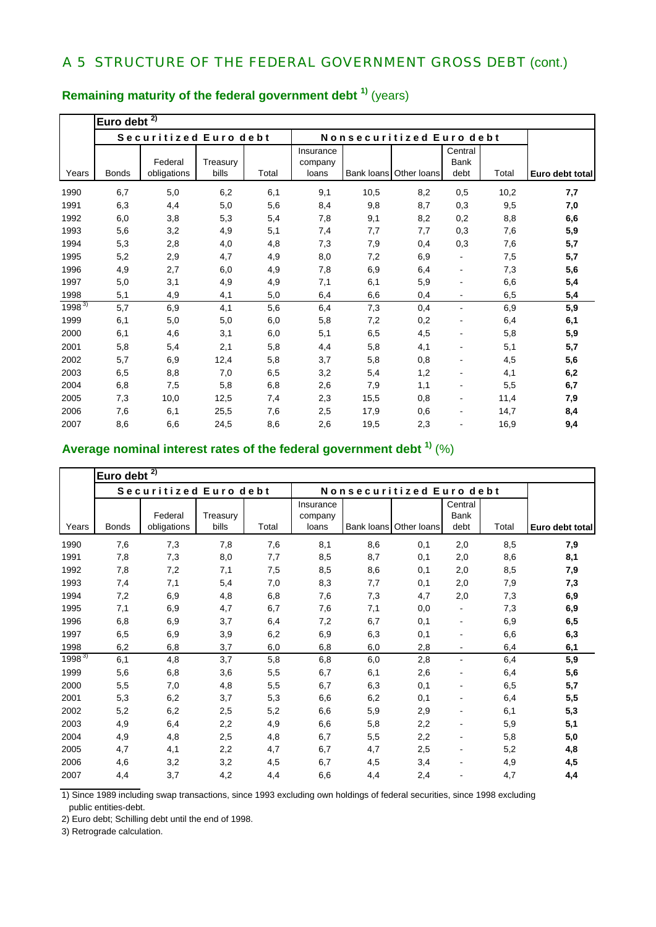|            | Euro debt    | 2)                     |                   |       |                               |                          |                        |                          |       |                 |
|------------|--------------|------------------------|-------------------|-------|-------------------------------|--------------------------|------------------------|--------------------------|-------|-----------------|
|            |              | Securitized Euro debt  |                   |       |                               | Nonsecuritized Euro debt |                        |                          |       |                 |
| Years      | <b>Bonds</b> | Federal<br>obligations | Treasury<br>bills | Total | Insurance<br>company<br>loans |                          | Bank loans Other loans | Central<br>Bank<br>debt  | Total | Euro debt total |
| 1990       | 6,7          | 5,0                    | 6,2               | 6,1   | 9,1                           | 10,5                     | 8,2                    | 0,5                      | 10,2  | 7,7             |
| 1991       | 6,3          | 4,4                    | 5,0               | 5,6   | 8,4                           | 9,8                      | 8,7                    | 0,3                      | 9,5   | 7,0             |
| 1992       | 6,0          | 3,8                    | 5,3               | 5,4   | 7,8                           | 9,1                      | 8,2                    | 0,2                      | 8,8   | 6,6             |
| 1993       | 5,6          | 3,2                    | 4,9               | 5,1   | 7,4                           | 7,7                      | 7,7                    | 0,3                      | 7,6   | 5,9             |
| 1994       | 5,3          | 2,8                    | 4,0               | 4,8   | 7,3                           | 7,9                      | 0,4                    | 0,3                      | 7,6   | 5,7             |
| 1995       | 5,2          | 2,9                    | 4,7               | 4,9   | 8,0                           | 7,2                      | 6,9                    | $\overline{a}$           | 7,5   | 5,7             |
| 1996       | 4,9          | 2,7                    | 6,0               | 4,9   | 7,8                           | 6,9                      | 6,4                    |                          | 7,3   | 5,6             |
| 1997       | 5,0          | 3,1                    | 4,9               | 4,9   | 7,1                           | 6,1                      | 5,9                    |                          | 6,6   | 5,4             |
| 1998       | 5,1          | 4,9                    | 4,1               | 5,0   | 6,4                           | 6,6                      | 0,4                    | $\blacksquare$           | 6,5   | 5,4             |
| $1998^{3}$ | 5,7          | 6,9                    | 4,1               | 5,6   | 6,4                           | 7,3                      | 0,4                    | $\overline{\phantom{0}}$ | 6,9   | 5,9             |
| 1999       | 6,1          | 5,0                    | 5,0               | 6,0   | 5,8                           | 7,2                      | 0,2                    |                          | 6,4   | 6,1             |
| 2000       | 6,1          | 4,6                    | 3,1               | 6,0   | 5,1                           | 6,5                      | 4,5                    |                          | 5,8   | 5,9             |
| 2001       | 5,8          | 5,4                    | 2,1               | 5,8   | 4,4                           | 5,8                      | 4,1                    |                          | 5,1   | 5,7             |
| 2002       | 5,7          | 6,9                    | 12,4              | 5,8   | 3,7                           | 5,8                      | 0,8                    |                          | 4,5   | 5,6             |
| 2003       | 6,5          | 8,8                    | 7,0               | 6,5   | 3,2                           | 5,4                      | 1,2                    |                          | 4,1   | 6,2             |
| 2004       | 6,8          | 7,5                    | 5,8               | 6,8   | 2,6                           | 7,9                      | 1,1                    |                          | 5,5   | 6,7             |
| 2005       | 7,3          | 10,0                   | 12,5              | 7,4   | 2,3                           | 15,5                     | 0,8                    |                          | 11,4  | 7,9             |
| 2006       | 7,6          | 6,1                    | 25,5              | 7,6   | 2,5                           | 17,9                     | 0,6                    |                          | 14,7  | 8,4             |
| 2007       | 8,6          | 6,6                    | 24,5              | 8,6   | 2,6                           | 19,5                     | 2,3                    |                          | 16,9  | 9,4             |

# **Remaining maturity of the federal government debt 1)** (years)

# **Average nominal interest rates of the federal government debt 1)** (%)

|            | $\overline{2)}$<br>Euro debt |                        |                   |       |                               |            |                          |                                |       |                 |
|------------|------------------------------|------------------------|-------------------|-------|-------------------------------|------------|--------------------------|--------------------------------|-------|-----------------|
|            |                              | Securitized Euro debt  |                   |       |                               |            | Nonsecuritized Euro debt |                                |       |                 |
| Years      | <b>Bonds</b>                 | Federal<br>obligations | Treasury<br>bills | Total | Insurance<br>company<br>loans | Bank loans | Other loans              | Central<br><b>Bank</b><br>debt | Total | Euro debt total |
| 1990       | 7,6                          | 7,3                    | 7,8               | 7,6   | 8,1                           | 8,6        | 0,1                      | 2,0                            | 8,5   | 7,9             |
| 1991       | 7,8                          | 7,3                    | 8,0               | 7,7   | 8,5                           | 8,7        | 0,1                      | 2,0                            | 8,6   | 8,1             |
| 1992       | 7,8                          | 7,2                    | 7,1               | 7,5   | 8,5                           | 8,6        | 0,1                      | 2,0                            | 8,5   | 7,9             |
| 1993       | 7,4                          | 7,1                    | 5,4               | 7,0   | 8,3                           | 7,7        | 0,1                      | 2,0                            | 7,9   | 7,3             |
| 1994       | 7,2                          | 6,9                    | 4,8               | 6,8   | 7,6                           | 7,3        | 4,7                      | 2,0                            | 7,3   | 6,9             |
| 1995       | 7,1                          | 6,9                    | 4,7               | 6,7   | 7,6                           | 7,1        | 0,0                      |                                | 7,3   | 6,9             |
| 1996       | 6,8                          | 6,9                    | 3,7               | 6,4   | 7,2                           | 6,7        | 0,1                      | $\overline{\phantom{a}}$       | 6,9   | 6,5             |
| 1997       | 6,5                          | 6,9                    | 3,9               | 6,2   | 6,9                           | 6,3        | 0,1                      |                                | 6,6   | 6,3             |
| 1998       | 6,2                          | 6,8                    | 3,7               | 6,0   | 6,8                           | 6,0        | 2,8                      |                                | 6,4   | 6,1             |
| $1998^{3}$ | 6,1                          | 4,8                    | 3,7               | 5,8   | 6,8                           | 6,0        | 2,8                      | $\blacksquare$                 | 6,4   | 5,9             |
| 1999       | 5,6                          | 6,8                    | 3,6               | 5,5   | 6,7                           | 6,1        | 2,6                      |                                | 6,4   | 5,6             |
| 2000       | 5,5                          | 7,0                    | 4,8               | 5,5   | 6,7                           | 6,3        | 0,1                      |                                | 6,5   | 5,7             |
| 2001       | 5,3                          | 6,2                    | 3,7               | 5,3   | 6,6                           | 6,2        | 0,1                      |                                | 6,4   | 5,5             |
| 2002       | 5,2                          | 6,2                    | 2,5               | 5,2   | 6,6                           | 5,9        | 2,9                      |                                | 6,1   | 5,3             |
| 2003       | 4,9                          | 6,4                    | 2,2               | 4,9   | 6,6                           | 5,8        | 2,2                      |                                | 5,9   | 5,1             |
| 2004       | 4,9                          | 4,8                    | 2,5               | 4,8   | 6,7                           | 5,5        | 2,2                      |                                | 5,8   | 5,0             |
| 2005       | 4,7                          | 4,1                    | 2,2               | 4,7   | 6,7                           | 4,7        | 2,5                      | $\overline{\phantom{a}}$       | 5,2   | 4,8             |
| 2006       | 4,6                          | 3,2                    | 3,2               | 4,5   | 6,7                           | 4,5        | 3,4                      | $\overline{\phantom{a}}$       | 4,9   | 4,5             |
| 2007       | 4,4                          | 3,7                    | 4,2               | 4,4   | 6,6                           | 4,4        | 2,4                      |                                | 4,7   | 4,4             |

1) Since 1989 including swap transactions, since 1993 excluding own holdings of federal securities, since 1998 excluding public entities-debt.

2) Euro debt; Schilling debt until the end of 1998.

3) Retrograde calculation.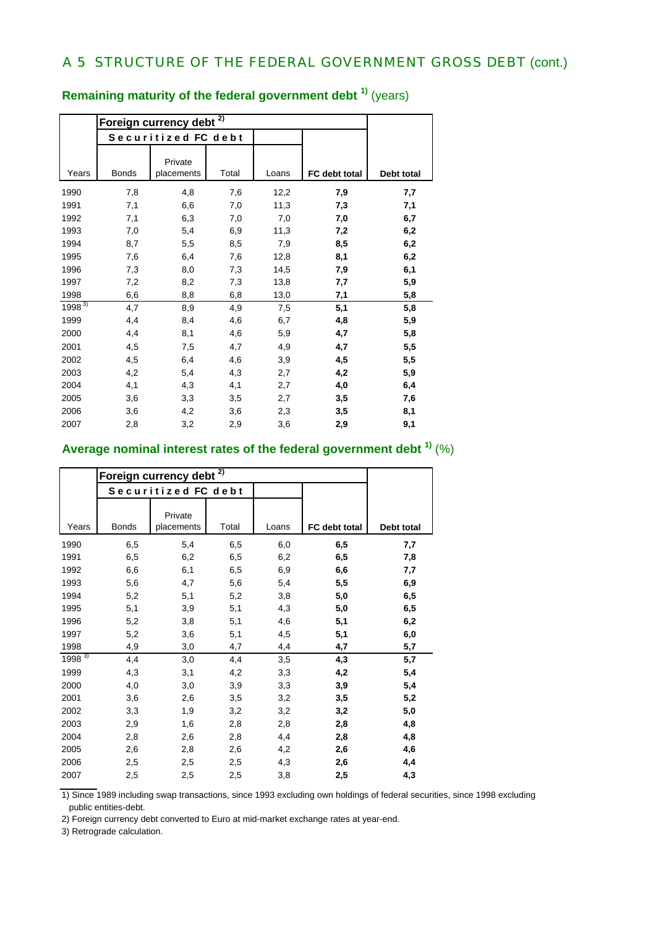|            |              | Foreign currency debt <sup>2)</sup> |       |       |               |            |
|------------|--------------|-------------------------------------|-------|-------|---------------|------------|
|            |              | Securitized FC debt                 |       |       |               |            |
| Years      | <b>Bonds</b> | Private<br>placements               | Total | Loans | FC debt total | Debt total |
| 1990       | 7,8          | 4,8                                 | 7,6   | 12,2  | 7,9           | 7,7        |
| 1991       | 7,1          | 6,6                                 | 7,0   | 11,3  | 7,3           | 7,1        |
| 1992       | 7,1          | 6,3                                 | 7,0   | 7,0   | 7,0           | 6,7        |
| 1993       | 7,0          | 5,4                                 | 6,9   | 11,3  | 7,2           | 6,2        |
| 1994       | 8,7          | 5,5                                 | 8,5   | 7,9   | 8,5           | 6,2        |
| 1995       | 7,6          | 6,4                                 | 7,6   | 12,8  | 8,1           | 6,2        |
| 1996       | 7,3          | 8,0                                 | 7,3   | 14,5  | 7,9           | 6,1        |
| 1997       | 7,2          | 8,2                                 | 7,3   | 13,8  | 7,7           | 5,9        |
| 1998       | 6,6          | 8,8                                 | 6,8   | 13,0  | 7,1           | 5,8        |
| $1998^{3}$ | 4,7          | 8,9                                 | 4,9   | 7,5   | 5,1           | 5,8        |
| 1999       | 4,4          | 8,4                                 | 4,6   | 6,7   | 4,8           | 5,9        |
| 2000       | 4,4          | 8,1                                 | 4,6   | 5,9   | 4,7           | 5,8        |
| 2001       | 4,5          | 7,5                                 | 4,7   | 4,9   | 4,7           | 5,5        |
| 2002       | 4,5          | 6,4                                 | 4,6   | 3,9   | 4,5           | 5,5        |
| 2003       | 4,2          | 5,4                                 | 4,3   | 2,7   | 4,2           | 5,9        |
| 2004       | 4,1          | 4,3                                 | 4,1   | 2,7   | 4,0           | 6,4        |
| 2005       | 3,6          | 3,3                                 | 3,5   | 2,7   | 3,5           | 7,6        |
| 2006       | 3,6          | 4,2                                 | 3,6   | 2,3   | 3,5           | 8,1        |
| 2007       | 2,8          | 3,2                                 | 2,9   | 3,6   | 2,9           | 9,1        |

# **Remaining maturity of the federal government debt 1)** (years)

### **Average nominal interest rates of the federal government debt 1)** (%)

|            |              | Foreign currency debt | 2)    |       |               |            |
|------------|--------------|-----------------------|-------|-------|---------------|------------|
|            |              | Securitized FC debt   |       |       |               |            |
| Years      | <b>Bonds</b> | Private<br>placements | Total | Loans | FC debt total | Debt total |
| 1990       | 6,5          | 5,4                   | 6,5   | 6,0   | 6,5           | 7,7        |
| 1991       | 6,5          | 6,2                   | 6,5   | 6,2   | 6,5           | 7,8        |
| 1992       | 6,6          | 6,1                   | 6,5   | 6,9   | 6,6           | 7,7        |
| 1993       | 5,6          | 4,7                   | 5,6   | 5,4   | 5,5           | 6,9        |
| 1994       | 5,2          | 5,1                   | 5,2   | 3,8   | 5,0           | 6,5        |
| 1995       | 5,1          | 3,9                   | 5,1   | 4,3   | 5,0           | 6,5        |
| 1996       | 5,2          | 3,8                   | 5,1   | 4,6   | 5,1           | 6,2        |
| 1997       | 5,2          | 3,6                   | 5,1   | 4,5   | 5,1           | 6,0        |
| 1998       | 4,9          | 3,0                   | 4,7   | 4,4   | 4,7           | 5,7        |
| $1998^{3}$ | 4,4          | 3,0                   | 4,4   | 3,5   | 4,3           | 5,7        |
| 1999       | 4,3          | 3,1                   | 4,2   | 3,3   | 4,2           | 5,4        |
| 2000       | 4,0          | 3,0                   | 3,9   | 3,3   | 3,9           | 5,4        |
| 2001       | 3,6          | 2,6                   | 3,5   | 3,2   | 3,5           | 5,2        |
| 2002       | 3,3          | 1,9                   | 3,2   | 3,2   | 3,2           | 5,0        |
| 2003       | 2,9          | 1,6                   | 2,8   | 2,8   | 2,8           | 4,8        |
| 2004       | 2,8          | 2,6                   | 2,8   | 4,4   | 2,8           | 4,8        |
| 2005       | 2,6          | 2,8                   | 2,6   | 4,2   | 2,6           | 4,6        |
| 2006       | 2,5          | 2,5                   | 2,5   | 4,3   | 2,6           | 4,4        |
| 2007       | 2,5          | 2,5                   | 2,5   | 3,8   | 2,5           | 4,3        |

1) Since 1989 including swap transactions, since 1993 excluding own holdings of federal securities, since 1998 excluding public entities-debt.

2) Foreign currency debt converted to Euro at mid-market exchange rates at year-end.

3) Retrograde calculation.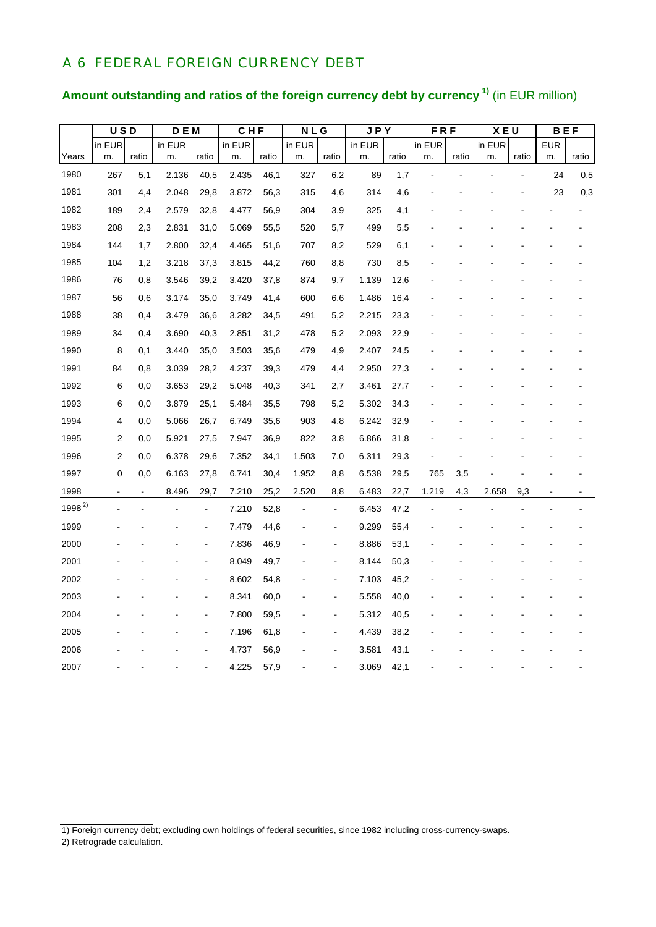### A 6 FEDERAL FOREIGN CURRENCY DEBT

# **Amount outstanding and ratios of the foreign currency debt by currency 1)** (in EUR million)

|            | <b>USD</b>     |       | <b>DEM</b> |                | <b>CHF</b> |       | <b>NLG</b> |                          | JPY    |       | <b>FRF</b> |       | XEU    |       | <b>BEF</b> |       |
|------------|----------------|-------|------------|----------------|------------|-------|------------|--------------------------|--------|-------|------------|-------|--------|-------|------------|-------|
|            | in EUR         |       | in EUR     |                | in EUR     |       | in EUR     |                          | in EUR |       | in EUR     |       | in EUR |       | <b>EUR</b> |       |
| Years      | m.             | ratio | m.         | ratio          | m.         | ratio | m.         | ratio                    | m.     | ratio | m.         | ratio | m.     | ratio | m.         | ratio |
| 1980       | 267            | 5,1   | 2.136      | 40,5           | 2.435      | 46,1  | 327        | 6,2                      | 89     | 1,7   |            |       |        |       | 24         | 0,5   |
| 1981       | 301            | 4,4   | 2.048      | 29,8           | 3.872      | 56,3  | 315        | 4,6                      | 314    | 4,6   |            |       |        |       | 23         | 0,3   |
| 1982       | 189            | 2,4   | 2.579      | 32,8           | 4.477      | 56,9  | 304        | 3,9                      | 325    | 4,1   |            |       |        |       |            |       |
| 1983       | 208            | 2,3   | 2.831      | 31,0           | 5.069      | 55,5  | 520        | 5,7                      | 499    | 5,5   |            |       |        |       |            |       |
| 1984       | 144            | 1,7   | 2.800      | 32,4           | 4.465      | 51,6  | 707        | 8,2                      | 529    | 6,1   |            |       |        |       |            |       |
| 1985       | 104            | 1,2   | 3.218      | 37,3           | 3.815      | 44,2  | 760        | 8,8                      | 730    | 8,5   |            |       |        |       |            |       |
| 1986       | 76             | 0,8   | 3.546      | 39,2           | 3.420      | 37,8  | 874        | 9,7                      | 1.139  | 12,6  |            |       |        |       |            |       |
| 1987       | 56             | 0,6   | 3.174      | 35,0           | 3.749      | 41,4  | 600        | 6,6                      | 1.486  | 16,4  |            |       |        |       |            |       |
| 1988       | 38             | 0,4   | 3.479      | 36,6           | 3.282      | 34,5  | 491        | 5,2                      | 2.215  | 23,3  |            |       |        |       |            |       |
| 1989       | 34             | 0,4   | 3.690      | 40,3           | 2.851      | 31,2  | 478        | 5,2                      | 2.093  | 22,9  |            |       |        |       |            |       |
| 1990       | 8              | 0,1   | 3.440      | 35,0           | 3.503      | 35,6  | 479        | 4,9                      | 2.407  | 24,5  |            |       |        |       |            |       |
| 1991       | 84             | 0,8   | 3.039      | 28,2           | 4.237      | 39,3  | 479        | 4,4                      | 2.950  | 27,3  |            |       |        |       |            |       |
| 1992       | 6              | 0,0   | 3.653      | 29,2           | 5.048      | 40,3  | 341        | 2,7                      | 3.461  | 27,7  |            |       |        |       |            |       |
| 1993       | 6              | 0,0   | 3.879      | 25,1           | 5.484      | 35,5  | 798        | 5,2                      | 5.302  | 34,3  |            |       |        |       |            |       |
| 1994       | 4              | 0,0   | 5.066      | 26,7           | 6.749      | 35,6  | 903        | 4,8                      | 6.242  | 32,9  |            |       |        |       |            |       |
| 1995       | 2              | 0,0   | 5.921      | 27,5           | 7.947      | 36,9  | 822        | 3,8                      | 6.866  | 31,8  |            |       |        |       |            |       |
| 1996       | $\overline{2}$ | 0,0   | 6.378      | 29,6           | 7.352      | 34,1  | 1.503      | 7,0                      | 6.311  | 29,3  |            |       |        |       |            |       |
| 1997       | $\mathbf 0$    | 0,0   | 6.163      | 27,8           | 6.741      | 30,4  | 1.952      | 8,8                      | 6.538  | 29,5  | 765        | 3,5   |        |       |            |       |
| 1998       |                |       | 8.496      | 29,7           | 7.210      | 25,2  | 2.520      | 8,8                      | 6.483  | 22,7  | 1.219      | 4,3   | 2.658  | 9,3   |            |       |
| $1998^{2}$ |                |       |            | $\overline{a}$ | 7.210      | 52,8  |            | $\overline{a}$           | 6.453  | 47,2  |            |       |        |       |            |       |
| 1999       |                |       |            |                | 7.479      | 44,6  |            | $\overline{\phantom{a}}$ | 9.299  | 55,4  |            |       |        |       |            |       |
| 2000       |                |       |            |                | 7.836      | 46,9  |            | L,                       | 8.886  | 53,1  |            |       |        |       |            |       |
| 2001       |                |       |            |                | 8.049      | 49,7  |            | $\overline{a}$           | 8.144  | 50,3  |            |       |        |       |            |       |
| 2002       |                |       |            | $\blacksquare$ | 8.602      | 54,8  |            | $\overline{\phantom{a}}$ | 7.103  | 45,2  |            |       |        |       |            |       |
| 2003       |                |       |            |                | 8.341      | 60,0  |            | $\overline{a}$           | 5.558  | 40,0  |            |       |        |       |            |       |
| 2004       |                |       |            | $\blacksquare$ | 7.800      | 59,5  |            | ÷,                       | 5.312  | 40,5  |            |       |        |       |            |       |
| 2005       |                |       |            |                | 7.196      | 61,8  |            | $\blacksquare$           | 4.439  | 38,2  |            |       |        |       |            |       |
| 2006       |                |       |            |                | 4.737      | 56,9  |            |                          | 3.581  | 43,1  |            |       |        |       |            |       |
| 2007       |                |       |            |                | 4.225      | 57,9  |            |                          | 3.069  | 42,1  |            |       |        |       |            |       |

<sup>1)</sup> Foreign currency debt; excluding own holdings of federal securities, since 1982 including cross-currency-swaps.

<sup>2)</sup> Retrograde calculation.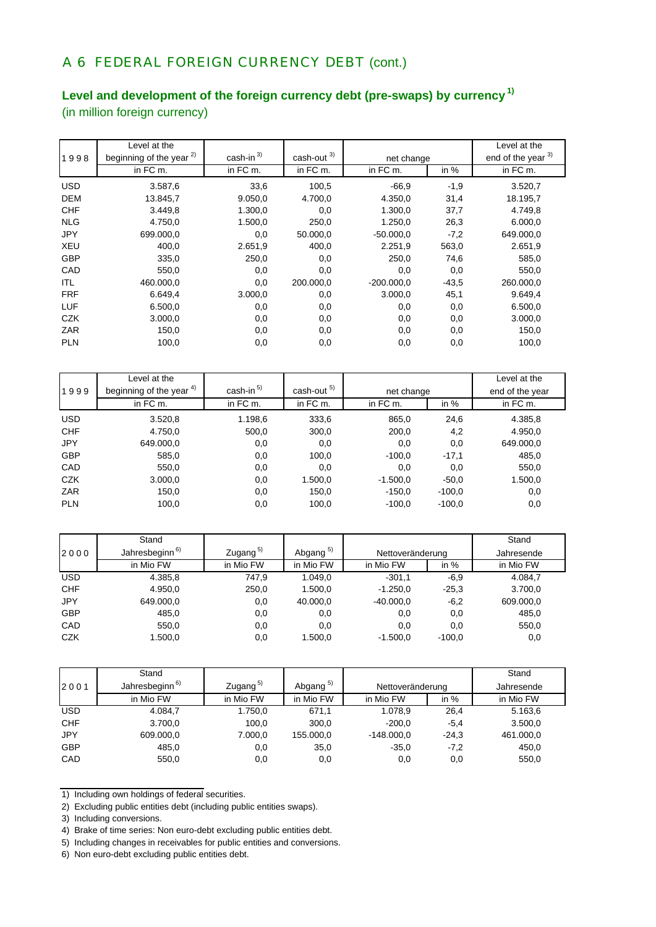## A 6 FEDERAL FOREIGN CURRENCY DEBT (cont.)

## **Level and development of the foreign currency debt (pre-swaps) by currency 1)**

(in million foreign currency)

|            | Level at the                        |                         |                             |              |         | Level at the       |
|------------|-------------------------------------|-------------------------|-----------------------------|--------------|---------|--------------------|
| 1998       | beginning of the year <sup>2)</sup> | $cash-in$ <sup>3)</sup> | $\frac{\text{cash-out}}{3}$ | net change   |         | end of the year 3) |
|            | in FC m.                            | in FC m.                | in FC m.                    | in FC m.     | in $%$  | in FC m.           |
| <b>USD</b> | 3.587,6                             | 33,6                    | 100,5                       | $-66.9$      | $-1,9$  | 3.520,7            |
| <b>DEM</b> | 13.845,7                            | 9.050,0                 | 4.700,0                     | 4.350,0      | 31,4    | 18.195,7           |
| <b>CHF</b> | 3.449,8                             | 1.300,0                 | 0,0                         | 1.300,0      | 37,7    | 4.749,8            |
| <b>NLG</b> | 4.750,0                             | 1.500,0                 | 250,0                       | 1.250,0      | 26,3    | 6.000,0            |
| <b>JPY</b> | 699.000,0                           | 0,0                     | 50.000,0                    | $-50.000.0$  | $-7,2$  | 649.000,0          |
| <b>XEU</b> | 400,0                               | 2.651,9                 | 400,0                       | 2.251,9      | 563,0   | 2.651,9            |
| <b>GBP</b> | 335,0                               | 250,0                   | 0,0                         | 250,0        | 74,6    | 585,0              |
| CAD        | 550,0                               | 0,0                     | 0,0                         | 0,0          | 0,0     | 550,0              |
| ITL        | 460.000,0                           | 0,0                     | 200.000.0                   | $-200.000,0$ | $-43.5$ | 260.000,0          |
| <b>FRF</b> | 6.649,4                             | 3.000,0                 | 0,0                         | 3.000,0      | 45,1    | 9.649,4            |
| LUF        | 6.500,0                             | 0,0                     | 0,0                         | 0,0          | 0,0     | 6.500,0            |
| <b>CZK</b> | 3.000,0                             | 0,0                     | 0,0                         | 0,0          | 0,0     | 3.000,0            |
| ZAR        | 150,0                               | 0,0                     | 0,0                         | 0,0          | 0,0     | 150,0              |
| <b>PLN</b> | 100,0                               | 0,0                     | 0,0                         | 0,0          | 0,0     | 100,0              |

|            | Level at the             |                       |             |            |          | Level at the    |
|------------|--------------------------|-----------------------|-------------|------------|----------|-----------------|
| 1999       | beginning of the year 4) | cash-in <sup>5)</sup> | cash-out 5) | net change |          | end of the year |
|            | in FC m.                 | in FC m.              | in FC m.    | in FC m.   | in $%$   | in FC m.        |
| <b>USD</b> | 3.520,8                  | 1.198,6               | 333,6       | 865,0      | 24,6     | 4.385,8         |
| <b>CHF</b> | 4.750,0                  | 500,0                 | 300,0       | 200,0      | 4,2      | 4.950,0         |
| <b>JPY</b> | 649.000,0                | 0,0                   | 0,0         | 0,0        | 0,0      | 649.000,0       |
| <b>GBP</b> | 585,0                    | 0,0                   | 100,0       | $-100,0$   | $-17,1$  | 485,0           |
| CAD        | 550,0                    | 0,0                   | 0,0         | 0,0        | 0,0      | 550,0           |
| <b>CZK</b> | 3.000,0                  | 0,0                   | 1.500,0     | $-1.500,0$ | $-50,0$  | 1.500,0         |
| ZAR        | 150,0                    | 0,0                   | 150,0       | $-150.0$   | $-100.0$ | 0,0             |
| <b>PLN</b> | 100,0                    | 0,0                   | 100,0       | $-100,0$   | $-100.0$ | 0,0             |

|            | Stand           |                      |                      |                  |          | Stand      |
|------------|-----------------|----------------------|----------------------|------------------|----------|------------|
| 2000       | Jahresbeginn 6) | Zugang <sup>5)</sup> | Abgang <sup>5)</sup> | Nettoveränderung |          | Jahresende |
|            | in Mio FW       | in Mio FW            | in Mio FW            | in Mio FW        | in $%$   | in Mio FW  |
| <b>USD</b> | 4.385,8         | 747,9                | 1.049,0              | $-301,1$         | $-6,9$   | 4.084,7    |
| <b>CHF</b> | 4.950,0         | 250,0                | 1.500,0              | $-1.250,0$       | $-25.3$  | 3.700,0    |
| <b>JPY</b> | 649.000,0       | $_{0,0}$             | 40.000,0             | $-40.000,0$      | $-6,2$   | 609.000,0  |
| <b>GBP</b> | 485,0           | 0,0                  | 0,0                  | 0,0              | 0,0      | 485,0      |
| CAD        | 550,0           | 0,0                  | 0,0                  | 0,0              | 0,0      | 550,0      |
| <b>CZK</b> | 1.500,0         | 0,0                  | 1.500,0              | $-1.500.0$       | $-100.0$ | 0,0        |

|            | Stand                      |                      |                      |                  |         | Stand      |
|------------|----------------------------|----------------------|----------------------|------------------|---------|------------|
| 2001       | Jahresbeginn <sup>6)</sup> | Zugang <sup>5)</sup> | Abgang <sup>5)</sup> | Nettoveränderung |         | Jahresende |
|            | in Mio FW                  | in Mio FW            | in Mio FW            | in Mio FW        | in $%$  | in Mio FW  |
| <b>USD</b> | 4.084.7                    | 1.750,0              | 671,1                | 1.078.9          | 26,4    | 5.163,6    |
| <b>CHF</b> | 3.700.0                    | 100,0                | 300.0                | $-200.0$         | $-5.4$  | 3.500,0    |
| <b>JPY</b> | 609.000,0                  | 7.000,0              | 155.000,0            | $-148.000.0$     | $-24.3$ | 461.000,0  |
| <b>GBP</b> | 485,0                      | 0,0                  | 35,0                 | $-35.0$          | $-7.2$  | 450,0      |
| CAD        | 550,0                      | 0,0                  | 0,0                  | 0,0              | 0,0     | 550,0      |

<sup>1)</sup> Including own holdings of federal securities.

6) Non euro-debt excluding public entities debt.

<sup>2)</sup> Excluding public entities debt (including public entities swaps).

<sup>3)</sup> Including conversions.

<sup>4)</sup> Brake of time series: Non euro-debt excluding public entities debt.

<sup>5)</sup> Including changes in receivables for public entities and conversions.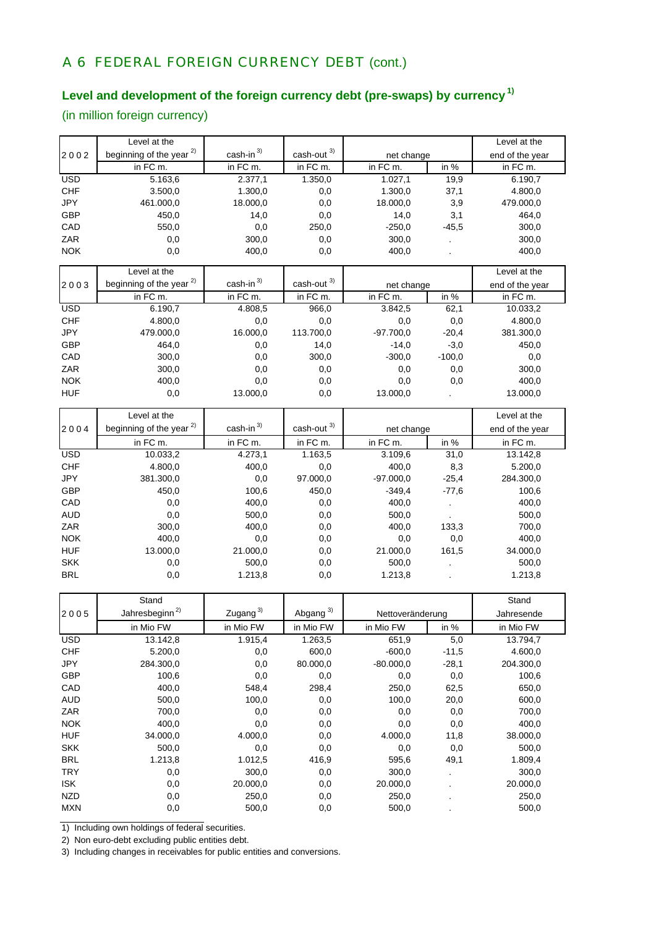# A 6 FEDERAL FOREIGN CURRENCY DEBT (cont.)

## **Level and development of the foreign currency debt (pre-swaps) by currency 1)**

(in million foreign currency)

|            | Level at the                                        |                         |                               |                  |          | Level at the    |
|------------|-----------------------------------------------------|-------------------------|-------------------------------|------------------|----------|-----------------|
| 2002       | beginning of the year <sup>2)</sup>                 | $cash-in$ <sup>3)</sup> | $\textsf{cash-out} \xspace^3$ | net change       |          | end of the year |
|            | in FC m.                                            | in FC m.                | in FC m.                      | in FC m.         | in $%$   | in FC m.        |
| <b>USD</b> | 5.163,6                                             | 2.377,1                 | 1.350,0                       | 1.027,1          | 19,9     | 6.190,7         |
| <b>CHF</b> | 3.500,0                                             | 1.300,0                 | 0,0                           | 1.300,0          | 37,1     | 4.800,0         |
| <b>JPY</b> | 461.000,0                                           | 18.000,0                | 0,0                           | 18.000,0         | 3,9      | 479.000,0       |
| <b>GBP</b> | 450,0                                               | 14,0                    | 0,0                           | 14,0             | 3,1      | 464,0           |
| CAD        | 550,0                                               | 0,0                     | 250,0                         | $-250,0$         | $-45,5$  | 300,0           |
| ZAR        | 0,0                                                 | 300,0                   | 0,0                           | 300,0            |          | 300,0           |
| <b>NOK</b> | 0,0                                                 | 400,0                   | 0,0                           | 400,0            |          | 400,0           |
|            |                                                     |                         |                               |                  |          |                 |
|            | Level at the                                        |                         |                               |                  |          | Level at the    |
| 2003       | beginning of the year <sup>2)</sup>                 | cash-in $3)$            | cash-out <sup>3)</sup>        | net change       |          | end of the year |
|            | in FC m.                                            | in FC m.                | in FC m.                      | in FC m.         | in $%$   | in FC m.        |
| <b>USD</b> | 6.190,7                                             | 4.808,5                 | 966,0                         | 3.842,5          | 62,1     | 10.033,2        |
| <b>CHF</b> | 4.800,0                                             | 0,0                     | 0,0                           | 0,0              | 0,0      | 4.800,0         |
| <b>JPY</b> | 479.000,0                                           | 16.000,0                | 113.700,0                     | $-97.700,0$      | $-20,4$  | 381.300,0       |
| <b>GBP</b> | 464,0                                               | 0,0                     | 14,0                          | $-14,0$          | $-3,0$   | 450,0           |
| CAD        | 300,0                                               | 0,0                     | 300,0                         | $-300,0$         | $-100,0$ | 0,0             |
| ZAR        | 300,0                                               | 0,0                     | 0,0                           | 0,0              | 0,0      | 300,0           |
| <b>NOK</b> | 400,0                                               | 0,0                     | 0,0                           | 0,0              | 0,0      | 400,0           |
| <b>HUF</b> | 0,0                                                 | 13.000,0                | 0,0                           | 13.000,0         |          | 13.000,0        |
|            |                                                     |                         |                               |                  |          |                 |
|            | Level at the<br>beginning of the year <sup>2)</sup> | cash-in $3)$            | cash-out <sup>3)</sup>        |                  |          | Level at the    |
| 2004       |                                                     |                         |                               | net change       |          | end of the year |
|            | in FC m.                                            | in FC m.                | in FC m.                      | in FC m.         | in %     | in FC m.        |
| <b>USD</b> | 10.033,2                                            | 4.273,1                 | 1.163,5                       | 3.109,6          | 31,0     | 13.142,8        |
| <b>CHF</b> | 4.800,0                                             | 400,0                   | 0,0                           | 400,0            | 8,3      | 5.200,0         |
| JPY        | 381.300,0                                           | 0,0                     | 97.000,0                      | $-97.000,0$      | $-25,4$  | 284.300,0       |
| <b>GBP</b> | 450,0                                               | 100,6                   | 450,0                         | $-349,4$         | $-77,6$  | 100,6           |
| CAD        | 0,0                                                 | 400,0                   | 0,0                           | 400,0            |          | 400,0           |
| <b>AUD</b> | 0,0                                                 | 500,0                   | 0,0                           | 500,0            |          | 500,0           |
| ZAR        | 300,0                                               | 400,0                   | 0,0                           | 400,0            | 133,3    | 700,0           |
| <b>NOK</b> | 400,0                                               | 0,0                     | 0,0                           | 0,0              | 0,0      | 400,0           |
| <b>HUF</b> | 13.000,0                                            | 21.000,0                | 0,0                           | 21.000,0         | 161,5    | 34.000,0        |
| <b>SKK</b> | 0,0                                                 | 500,0                   | 0,0                           | 500,0            |          | 500,0           |
| <b>BRL</b> | 0,0                                                 | 1.213,8                 | 0,0                           | 1.213,8          |          | 1.213,8         |
|            |                                                     |                         |                               |                  |          |                 |
|            | Stand                                               |                         |                               |                  |          | Stand           |
| 2005       | Jahresbeginn <sup>2)</sup>                          | Zugang <sup>3)</sup>    | Abgang <sup>3)</sup>          | Nettoveränderung |          | Jahresende      |
|            | in Mio FW                                           | in Mio FW               | in Mio FW                     | in Mio FW        | in %     | in Mio FW       |
| <b>USD</b> | 13.142,8                                            | 1.915,4                 | 1.263,5                       | 651,9            | 5,0      | 13.794,7        |
| <b>CHF</b> | 5.200,0                                             | 0,0                     | 600,0                         | $-600,0$         | $-11,5$  | 4.600,0         |
| JPY        | 284.300,0                                           | 0,0                     | 80.000,0                      | $-80.000,0$      | $-28,1$  | 204.300,0       |
| GBP        | 100,6                                               | 0,0                     | 0,0                           | 0,0              | 0,0      | 100,6           |
| CAD        | 400,0                                               | 548,4                   | 298,4                         | 250,0            | 62,5     | 650,0           |
| <b>AUD</b> | 500,0                                               | 100,0                   | 0,0                           | 100,0            | 20,0     | 600,0           |
| ZAR        | 700,0                                               | 0,0                     | 0,0                           | 0,0              | 0,0      | 700,0           |
| <b>NOK</b> | 400,0                                               | 0,0                     | 0,0                           | 0,0              | 0,0      | 400,0           |
| <b>HUF</b> | 34.000,0                                            | 4.000,0                 | 0,0                           | 4.000,0          | 11,8     | 38.000,0        |
| <b>SKK</b> | 500,0                                               | 0,0                     | 0,0                           | 0,0              | 0,0      | 500,0           |
| <b>BRL</b> | 1.213,8                                             | 1.012,5                 | 416,9                         | 595,6            | 49,1     | 1.809,4         |
| <b>TRY</b> | 0,0                                                 | 300,0                   | 0,0                           | 300,0            |          | 300,0           |
| <b>ISK</b> | 0,0                                                 | 20.000,0                | 0,0                           | 20.000,0         |          | 20.000,0        |
| <b>NZD</b> | 0,0                                                 | 250,0                   | 0,0                           | 250,0            |          | 250,0           |
| <b>MXN</b> | 0,0                                                 | 500,0                   | 0,0                           | 500,0            |          | 500,0           |
|            |                                                     |                         |                               |                  |          |                 |

1) Including own holdings of federal securities.

2) Non euro-debt excluding public entities debt.

3) Including changes in receivables for public entities and conversions.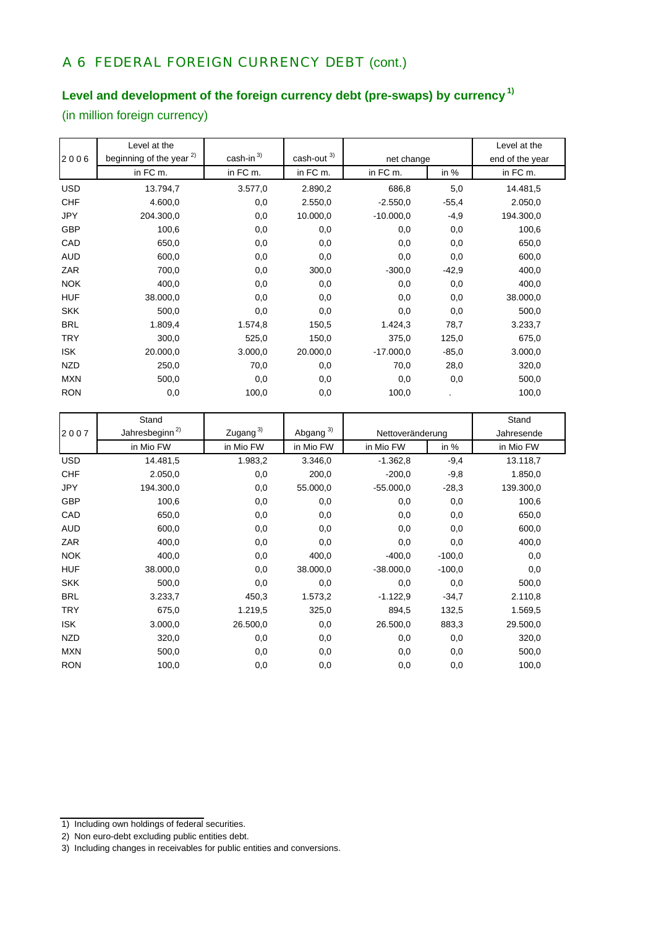# A 6 FEDERAL FOREIGN CURRENCY DEBT (cont.)

## **Level and development of the foreign currency debt (pre-swaps) by currency 1)**

(in million foreign currency)

|            | Level at the                        |                         |                        |             |         | Level at the    |
|------------|-------------------------------------|-------------------------|------------------------|-------------|---------|-----------------|
| 2006       | beginning of the year <sup>2)</sup> | $cash-in$ <sup>3)</sup> | cash-out <sup>3)</sup> | net change  |         | end of the year |
|            | in FC m.                            | in FC m.                | in FC m.               | in FC m.    | in $%$  | in FC m.        |
| <b>USD</b> | 13.794,7                            | 3.577,0                 | 2.890,2                | 686,8       | 5,0     | 14.481,5        |
| <b>CHF</b> | 4.600,0                             | 0,0                     | 2.550,0                | $-2.550,0$  | $-55,4$ | 2.050,0         |
| <b>JPY</b> | 204.300,0                           | 0,0                     | 10.000,0               | $-10.000,0$ | $-4,9$  | 194.300,0       |
| <b>GBP</b> | 100,6                               | 0,0                     | 0,0                    | 0,0         | 0,0     | 100,6           |
| CAD        | 650,0                               | 0,0                     | 0,0                    | 0,0         | 0,0     | 650,0           |
| <b>AUD</b> | 600,0                               | 0,0                     | 0,0                    | 0,0         | 0,0     | 600,0           |
| ZAR        | 700,0                               | 0,0                     | 300,0                  | $-300,0$    | $-42,9$ | 400,0           |
| <b>NOK</b> | 400,0                               | 0,0                     | 0,0                    | 0,0         | 0,0     | 400,0           |
| <b>HUF</b> | 38.000,0                            | 0,0                     | 0,0                    | 0,0         | 0,0     | 38.000,0        |
| <b>SKK</b> | 500,0                               | 0,0                     | 0,0                    | 0,0         | 0,0     | 500,0           |
| <b>BRL</b> | 1.809,4                             | 1.574,8                 | 150,5                  | 1.424,3     | 78,7    | 3.233,7         |
| <b>TRY</b> | 300,0                               | 525,0                   | 150,0                  | 375,0       | 125,0   | 675,0           |
| <b>ISK</b> | 20.000,0                            | 3.000,0                 | 20.000,0               | $-17.000,0$ | $-85,0$ | 3.000,0         |
| <b>NZD</b> | 250,0                               | 70,0                    | 0,0                    | 70,0        | 28,0    | 320,0           |
| <b>MXN</b> | 500,0                               | 0,0                     | 0,0                    | 0,0         | 0,0     | 500,0           |
| <b>RON</b> | 0,0                                 | 100,0                   | 0,0                    | 100,0       |         | 100,0           |

|            | Stand                      |                      |                      |                  |          | Stand      |
|------------|----------------------------|----------------------|----------------------|------------------|----------|------------|
| 2007       | Jahresbeginn <sup>2)</sup> | Zugang <sup>3)</sup> | Abgang <sup>3)</sup> | Nettoveränderung |          | Jahresende |
|            | in Mio FW                  | in Mio FW            | in Mio FW            | in Mio FW        | in %     | in Mio FW  |
| <b>USD</b> | 14.481,5                   | 1.983,2              | 3.346,0              | $-1.362,8$       | $-9,4$   | 13.118,7   |
| <b>CHF</b> | 2.050,0                    | 0,0                  | 200,0                | $-200,0$         | $-9,8$   | 1.850,0    |
| <b>JPY</b> | 194.300,0                  | 0,0                  | 55.000,0             | $-55.000,0$      | $-28,3$  | 139.300,0  |
| <b>GBP</b> | 100,6                      | 0,0                  | 0,0                  | 0,0              | 0,0      | 100,6      |
| CAD        | 650,0                      | 0,0                  | 0,0                  | 0,0              | 0,0      | 650,0      |
| <b>AUD</b> | 600,0                      | 0,0                  | 0,0                  | 0,0              | 0,0      | 600,0      |
| ZAR        | 400,0                      | 0,0                  | 0,0                  | 0,0              | 0,0      | 400,0      |
| <b>NOK</b> | 400,0                      | 0,0                  | 400,0                | $-400,0$         | $-100,0$ | 0,0        |
| <b>HUF</b> | 38.000,0                   | 0,0                  | 38.000,0             | $-38.000,0$      | $-100,0$ | 0,0        |
| <b>SKK</b> | 500,0                      | 0,0                  | 0,0                  | 0,0              | 0,0      | 500,0      |
| <b>BRL</b> | 3.233,7                    | 450,3                | 1.573,2              | $-1.122,9$       | $-34,7$  | 2.110,8    |
| <b>TRY</b> | 675,0                      | 1.219,5              | 325,0                | 894,5            | 132,5    | 1.569,5    |
| <b>ISK</b> | 3.000,0                    | 26.500,0             | 0,0                  | 26.500,0         | 883,3    | 29.500,0   |
| <b>NZD</b> | 320,0                      | 0,0                  | 0,0                  | 0,0              | 0,0      | 320,0      |
| <b>MXN</b> | 500,0                      | 0,0                  | 0,0                  | 0,0              | 0,0      | 500,0      |
| <b>RON</b> | 100,0                      | 0,0                  | 0,0                  | 0,0              | 0,0      | 100,0      |

- 1) Including own holdings of federal securities.
- 2) Non euro-debt excluding public entities debt.

<sup>3)</sup> Including changes in receivables for public entities and conversions.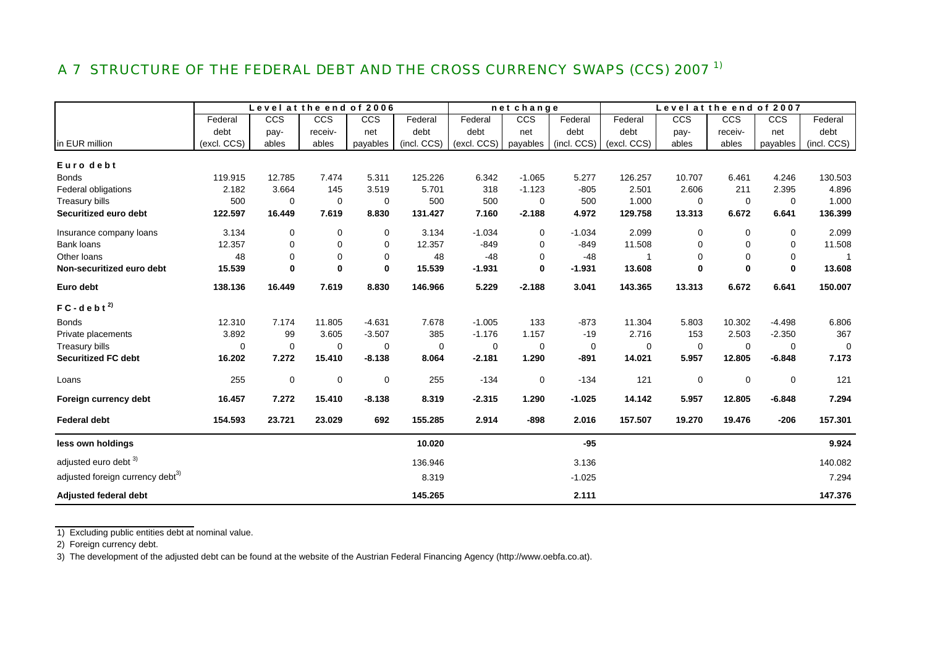# A 7 STRUCTURE OF THE FEDERAL DEBT AND THE CROSS CURRENCY SWAPS (CCS) 2007<sup>1)</sup>

|                                              |             | Level at the end of 2006 |             |          |             |             | net change  |             |             | Level at the end of 2007 |             |             |             |
|----------------------------------------------|-------------|--------------------------|-------------|----------|-------------|-------------|-------------|-------------|-------------|--------------------------|-------------|-------------|-------------|
|                                              | Federal     | CCS                      | <b>CCS</b>  | CCS      | Federal     | Federal     | CCS         | Federal     | Federal     | CCS                      | <b>CCS</b>  | <b>CCS</b>  | Federal     |
|                                              | debt        | pay-                     | receiv-     | net      | debt        | debt        | net         | debt        | debt        | pay-                     | receiv-     | net         | debt        |
| in EUR million                               | (excl. CCS) | ables                    | ables       | payables | (incl. CCS) | (excl. CCS) | payables    | (incl. CCS) | (excl. CCS) | ables                    | ables       | payables    | (incl. CCS) |
| Euro debt                                    |             |                          |             |          |             |             |             |             |             |                          |             |             |             |
| <b>Bonds</b>                                 | 119.915     | 12.785                   | 7.474       | 5.311    | 125.226     | 6.342       | $-1.065$    | 5.277       | 126.257     | 10.707                   | 6.461       | 4.246       | 130.503     |
| Federal obligations                          | 2.182       | 3.664                    | 145         | 3.519    | 5.701       | 318         | $-1.123$    | $-805$      | 2.501       | 2.606                    | 211         | 2.395       | 4.896       |
| Treasury bills                               | 500         | $\mathbf 0$              | $\mathbf 0$ | 0        | 500         | 500         | 0           | 500         | 1.000       | $\mathbf 0$              | $\mathbf 0$ | $\mathbf 0$ | 1.000       |
| Securitized euro debt                        | 122.597     | 16.449                   | 7.619       | 8.830    | 131.427     | 7.160       | $-2.188$    | 4.972       | 129.758     | 13.313                   | 6.672       | 6.641       | 136.399     |
| Insurance company loans                      | 3.134       | $\mathbf 0$              | $\mathbf 0$ | 0        | 3.134       | $-1.034$    | 0           | $-1.034$    | 2.099       | 0                        | $\mathbf 0$ | 0           | 2.099       |
| Bank loans                                   | 12.357      | $\mathbf 0$              | 0           | 0        | 12.357      | $-849$      | $\Omega$    | $-849$      | 11.508      | 0                        | $\mathbf 0$ | 0           | 11.508      |
| Other loans                                  | 48          | $\mathbf 0$              | $\mathbf 0$ | 0        | 48          | $-48$       | $\mathbf 0$ | $-48$       | 1           | $\mathbf 0$              | $\mathbf 0$ | $\mathbf 0$ |             |
| Non-securitized euro debt                    | 15.539      | $\mathbf 0$              | $\mathbf 0$ | $\bf{0}$ | 15.539      | $-1.931$    | $\bf{0}$    | $-1.931$    | 13.608      | $\mathbf 0$              | $\mathbf 0$ | $\bf{0}$    | 13.608      |
| Euro debt                                    | 138.136     | 16.449                   | 7.619       | 8.830    | 146.966     | 5.229       | $-2.188$    | 3.041       | 143.365     | 13.313                   | 6.672       | 6.641       | 150.007     |
| $FC - d e b t^{2}$                           |             |                          |             |          |             |             |             |             |             |                          |             |             |             |
| <b>Bonds</b>                                 | 12.310      | 7.174                    | 11.805      | $-4.631$ | 7.678       | $-1.005$    | 133         | $-873$      | 11.304      | 5.803                    | 10.302      | $-4.498$    | 6.806       |
| Private placements                           | 3.892       | 99                       | 3.605       | $-3.507$ | 385         | $-1.176$    | 1.157       | $-19$       | 2.716       | 153                      | 2.503       | $-2.350$    | 367         |
| Treasury bills                               | 0           | $\mathbf 0$              | $\mathbf 0$ | 0        | 0           | 0           | 0           | 0           | 0           | 0                        | $\mathbf 0$ | 0           | $\Omega$    |
| <b>Securitized FC debt</b>                   | 16.202      | 7.272                    | 15.410      | $-8.138$ | 8.064       | $-2.181$    | 1.290       | $-891$      | 14.021      | 5.957                    | 12.805      | $-6.848$    | 7.173       |
| Loans                                        | 255         | $\pmb{0}$                | $\pmb{0}$   | 0        | 255         | $-134$      | $\mathbf 0$ | $-134$      | 121         | $\pmb{0}$                | $\mathbf 0$ | 0           | 121         |
| Foreign currency debt                        | 16.457      | 7.272                    | 15.410      | $-8.138$ | 8.319       | $-2.315$    | 1.290       | $-1.025$    | 14.142      | 5.957                    | 12.805      | $-6.848$    | 7.294       |
| <b>Federal debt</b>                          | 154.593     | 23.721                   | 23.029      | 692      | 155.285     | 2.914       | $-898$      | 2.016       | 157.507     | 19.270                   | 19.476      | $-206$      | 157.301     |
| less own holdings                            |             |                          |             |          | 10.020      |             |             | $-95$       |             |                          |             |             | 9.924       |
| adjusted euro debt 3)                        |             |                          |             |          | 136.946     |             |             | 3.136       |             |                          |             |             | 140.082     |
| adjusted foreign currency debt <sup>3)</sup> |             |                          |             |          | 8.319       |             |             | $-1.025$    |             |                          |             |             | 7.294       |
| <b>Adjusted federal debt</b>                 |             |                          |             |          | 145.265     |             |             | 2.111       |             |                          |             |             | 147.376     |

1) Excluding public entities debt at nominal value.

2) Foreign currency debt.

3) The development of the adjusted debt can be found at the website of the Austrian Federal Financing Agency (http://www.oebfa.co.at).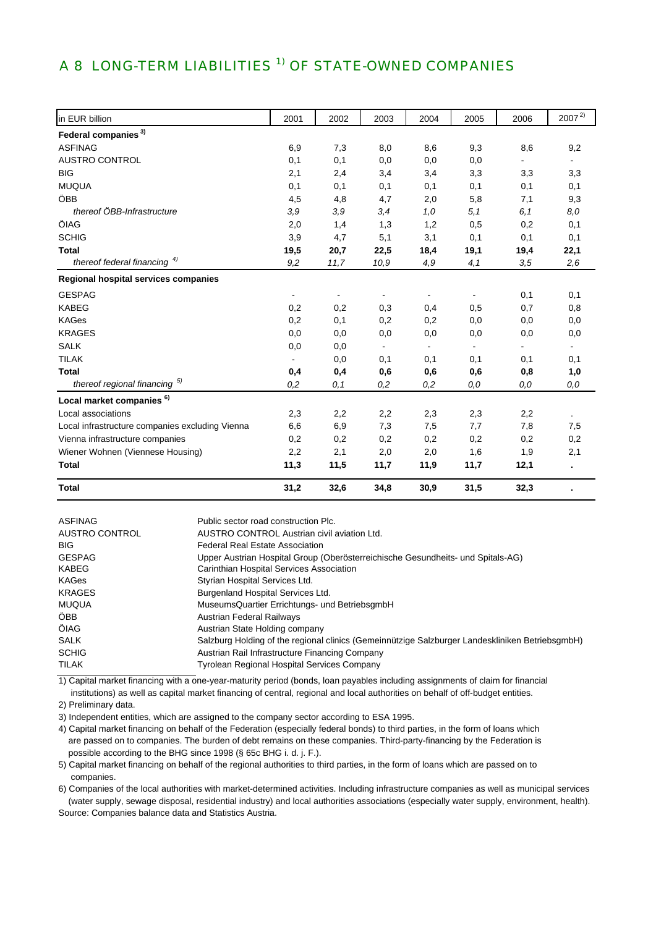## A 8 LONG-TERM LIABILITIES<sup>1)</sup> OF STATE-OWNED COMPANIES

| in EUR billion                                  | 2001           | 2002 | 2003           | 2004           | 2005           | 2006 | $2007^{2}$     |
|-------------------------------------------------|----------------|------|----------------|----------------|----------------|------|----------------|
| Federal companies <sup>3)</sup>                 |                |      |                |                |                |      |                |
| <b>ASFINAG</b>                                  | 6,9            | 7,3  | 8,0            | 8,6            | 9,3            | 8,6  | 9,2            |
| <b>AUSTRO CONTROL</b>                           | 0,1            | 0,1  | 0,0            | 0,0            | 0,0            |      |                |
| <b>BIG</b>                                      | 2,1            | 2,4  | 3,4            | 3,4            | 3,3            | 3,3  | 3,3            |
| <b>MUQUA</b>                                    | 0,1            | 0,1  | 0,1            | 0,1            | 0,1            | 0,1  | 0,1            |
| ÖBB                                             | 4,5            | 4,8  | 4,7            | 2,0            | 5,8            | 7,1  | 9,3            |
| thereof ÖBB-Infrastructure                      | 3,9            | 3,9  | 3,4            | 1,0            | 5,1            | 6,1  | 8,0            |
| ÖIAG                                            | 2,0            | 1,4  | 1,3            | 1,2            | 0,5            | 0,2  | 0,1            |
| <b>SCHIG</b>                                    | 3,9            | 4,7  | 5,1            | 3,1            | 0,1            | 0,1  | 0,1            |
| <b>Total</b>                                    | 19,5           | 20,7 | 22,5           | 18,4           | 19,1           | 19,4 | 22,1           |
| thereof federal financing $4)$                  | 9,2            | 11,7 | 10,9           | 4,9            | 4,1            | 3,5  | 2,6            |
| Regional hospital services companies            |                |      |                |                |                |      |                |
| <b>GESPAG</b>                                   | $\sim$         | ۰    | $\blacksquare$ | $\blacksquare$ | $\blacksquare$ | 0,1  | 0,1            |
| <b>KABEG</b>                                    | 0,2            | 0,2  | 0,3            | 0,4            | 0,5            | 0,7  | 0,8            |
| <b>KAGes</b>                                    | 0,2            | 0,1  | 0,2            | 0,2            | 0,0            | 0,0  | 0,0            |
| <b>KRAGES</b>                                   | 0,0            | 0,0  | 0,0            | 0,0            | 0,0            | 0,0  | 0,0            |
| <b>SALK</b>                                     | 0,0            | 0,0  | $\blacksquare$ | $\blacksquare$ | $\blacksquare$ | ۰.   | $\blacksquare$ |
| <b>TILAK</b>                                    | $\blacksquare$ | 0,0  | 0,1            | 0,1            | 0,1            | 0,1  | 0,1            |
| <b>Total</b>                                    | 0,4            | 0,4  | 0,6            | 0,6            | 0,6            | 0,8  | 1,0            |
| thereof regional financing 5)                   | 0,2            | 0,1  | 0,2            | 0,2            | 0,0            | 0,0  | 0,0            |
| Local market companies <sup>6)</sup>            |                |      |                |                |                |      |                |
| Local associations                              | 2,3            | 2,2  | 2,2            | 2,3            | 2,3            | 2,2  |                |
| Local infrastructure companies excluding Vienna | 6,6            | 6,9  | 7,3            | 7,5            | 7,7            | 7,8  | 7,5            |
| Vienna infrastructure companies                 | 0,2            | 0,2  | 0,2            | 0,2            | 0,2            | 0,2  | 0,2            |
| Wiener Wohnen (Viennese Housing)                | 2,2            | 2,1  | 2,0            | 2,0            | 1,6            | 1,9  | 2,1            |
| <b>Total</b>                                    | 11,3           | 11,5 | 11,7           | 11,9           | 11,7           | 12,1 |                |
| <b>Total</b>                                    | 31,2           | 32,6 | 34,8           | 30,9           | 31,5           | 32,3 |                |

| ASFINAG        | Public sector road construction Plc.                                                            |
|----------------|-------------------------------------------------------------------------------------------------|
| AUSTRO CONTROL | AUSTRO CONTROL Austrian civil aviation Ltd.                                                     |
| <b>BIG</b>     | <b>Federal Real Estate Association</b>                                                          |
| <b>GESPAG</b>  | Upper Austrian Hospital Group (Oberösterreichische Gesundheits- und Spitals-AG)                 |
| <b>KABEG</b>   | Carinthian Hospital Services Association                                                        |
| <b>KAGes</b>   | Styrian Hospital Services Ltd.                                                                  |
| <b>KRAGES</b>  | Burgenland Hospital Services Ltd.                                                               |
| MUQUA          | MuseumsQuartier Errichtungs- und BetriebsgmbH                                                   |
| ÔBB.           | <b>Austrian Federal Railways</b>                                                                |
| <b>ÖIAG</b>    | Austrian State Holding company                                                                  |
| <b>SALK</b>    | Salzburg Holding of the regional clinics (Gemeinnützige Salzburger Landeskliniken BetriebsgmbH) |
| <b>SCHIG</b>   | Austrian Rail Infrastructure Financing Company                                                  |
| <b>TILAK</b>   | <b>Tyrolean Regional Hospital Services Company</b>                                              |

 institutions) as well as capital market financing of central, regional and local authorities on behalf of off-budget entities. 1) Capital market financing with a one-year-maturity period (bonds, loan payables including assignments of claim for financial

2) Preliminary data.

3) Independent entities, which are assigned to the company sector according to ESA 1995.

4) Capital market financing on behalf of the Federation (especially federal bonds) to third parties, in the form of loans which are passed on to companies. The burden of debt remains on these companies. Third-party-financing by the Federation is possible according to the BHG since 1998 (§ 65c BHG i. d. j. F.).

5) Capital market financing on behalf of the regional authorities to third parties, in the form of loans which are passed on to companies.

6) Companies of the local authorities with market-determined activities. Including infrastructure companies as well as municipal services (water supply, sewage disposal, residential industry) and local authorities associations (especially water supply, environment, health).

Source: Companies balance data and Statistics Austria.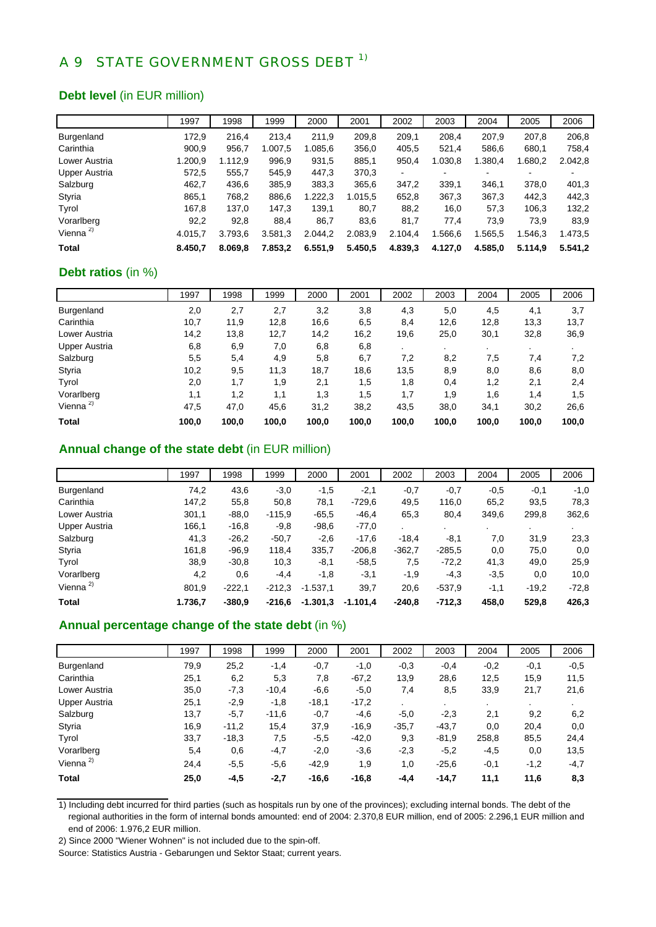## A 9 STATE GOVERNMENT GROSS DEBT <sup>1)</sup>

#### **Debt level** (in EUR million)

|                   | 1997    | 1998    | 1999    | 2000    | 2001    | 2002    | 2003    | 2004    | 2005    | 2006    |
|-------------------|---------|---------|---------|---------|---------|---------|---------|---------|---------|---------|
| <b>Burgenland</b> | 172,9   | 216,4   | 213,4   | 211.9   | 209,8   | 209.1   | 208,4   | 207.9   | 207.8   | 206,8   |
| Carinthia         | 900,9   | 956,7   | 1.007.5 | 1.085,6 | 356,0   | 405,5   | 521,4   | 586,6   | 680,1   | 758,4   |
| Lower Austria     | 1.200,9 | 1.112.9 | 996,9   | 931,5   | 885,1   | 950,4   | 1.030,8 | 1.380,4 | 1.680,2 | 2.042,8 |
| Upper Austria     | 572,5   | 555,7   | 545,9   | 447,3   | 370,3   | ٠       |         |         |         |         |
| Salzburg          | 462,7   | 436,6   | 385,9   | 383,3   | 365,6   | 347.2   | 339.1   | 346.1   | 378.0   | 401,3   |
| Styria            | 865,1   | 768,2   | 886,6   | 1.222,3 | 1.015,5 | 652,8   | 367,3   | 367,3   | 442.3   | 442,3   |
| Tyrol             | 167,8   | 137,0   | 147,3   | 139.1   | 80,7    | 88,2    | 16,0    | 57,3    | 106,3   | 132,2   |
| Vorarlberg        | 92,2    | 92,8    | 88,4    | 86,7    | 83,6    | 81,7    | 77.4    | 73.9    | 73.9    | 83,9    |
| Vienna $2$        | 4.015.7 | 3.793.6 | 3.581,3 | 2.044,2 | 2.083,9 | 2.104,4 | .566.6  | .565,5  | .546,3  | 1.473,5 |
| <b>Total</b>      | 8.450.7 | 8.069,8 | 7.853,2 | 6.551,9 | 5.450,5 | 4.839,3 | 4.127,0 | 4.585.0 | 5.114.9 | 5.541.2 |

#### **Debt ratios** (in %)

|                      | 1997  | 1998  | 1999  | 2000  | 2001  | 2002  | 2003  | 2004      | 2005  | 2006  |
|----------------------|-------|-------|-------|-------|-------|-------|-------|-----------|-------|-------|
| Burgenland           | 2,0   | 2,7   | 2,7   | 3,2   | 3,8   | 4,3   | 5,0   | 4,5       | 4,1   | 3,7   |
| Carinthia            | 10,7  | 11,9  | 12,8  | 16,6  | 6,5   | 8,4   | 12,6  | 12,8      | 13,3  | 13,7  |
| Lower Austria        | 14,2  | 13,8  | 12,7  | 14,2  | 16,2  | 19,6  | 25,0  | 30,1      | 32,8  | 36,9  |
| <b>Upper Austria</b> | 6,8   | 6,9   | 7,0   | 6,8   | 6,8   |       |       | $\bullet$ |       |       |
| Salzburg             | 5,5   | 5,4   | 4,9   | 5,8   | 6,7   | 7,2   | 8,2   | 7,5       | 7,4   | 7,2   |
| Styria               | 10,2  | 9,5   | 11,3  | 18,7  | 18,6  | 13,5  | 8,9   | 8,0       | 8,6   | 8,0   |
| Tyrol                | 2,0   | 1,7   | 1,9   | 2,1   | 1,5   | 1,8   | 0,4   | 1,2       | 2,1   | 2,4   |
| Vorarlberg           | 1,1   | 1,2   | 1,1   | 1,3   | 1,5   | 1,7   | 1,9   | 1,6       | 1,4   | 1,5   |
| Vienna <sup>2)</sup> | 47,5  | 47,0  | 45,6  | 31,2  | 38,2  | 43,5  | 38,0  | 34,1      | 30,2  | 26,6  |
| <b>Total</b>         | 100,0 | 100,0 | 100,0 | 100,0 | 100,0 | 100,0 | 100,0 | 100,0     | 100,0 | 100,0 |

#### **Annual change of the state debt** (in EUR million)

|               | 1997    | 1998     | 1999     | 2000       | 2001       | 2002     | 2003     | 2004   | 2005    | 2006    |
|---------------|---------|----------|----------|------------|------------|----------|----------|--------|---------|---------|
| Burgenland    | 74,2    | 43,6     | $-3,0$   | $-1,5$     | $-2,1$     | $-0.7$   | $-0.7$   | $-0.5$ | $-0,1$  | $-1,0$  |
| Carinthia     | 147,2   | 55,8     | 50,8     | 78,1       | $-729.6$   | 49,5     | 116,0    | 65,2   | 93,5    | 78,3    |
| Lower Austria | 301,1   | $-88.0$  | $-115.9$ | $-65.5$    | $-46,4$    | 65,3     | 80,4     | 349,6  | 299,8   | 362,6   |
| Upper Austria | 166,1   | $-16,8$  | $-9,8$   | $-98,6$    | $-77.0$    |          |          |        |         |         |
| Salzburg      | 41,3    | $-26,2$  | $-50,7$  | $-2,6$     | $-17,6$    | $-18,4$  | $-8,1$   | 7,0    | 31,9    | 23,3    |
| Styria        | 161,8   | $-96.9$  | 118,4    | 335,7      | $-206.8$   | $-362,7$ | $-285.5$ | 0,0    | 75,0    | 0,0     |
| Tyrol         | 38,9    | $-30.8$  | 10,3     | $-8,1$     | $-58.5$    | 7,5      | $-72,2$  | 41,3   | 49,0    | 25,9    |
| Vorarlberg    | 4,2     | 0,6      | $-4,4$   | $-1,8$     | $-3,1$     | $-1,9$   | $-4,3$   | $-3,5$ | 0,0     | 10,0    |
| Vienna $2$    | 801,9   | $-222.1$ | $-212.3$ | $-1.537,1$ | 39,7       | 20,6     | $-537.9$ | $-1,1$ | $-19.2$ | $-72,8$ |
| <b>Total</b>  | 1.736,7 | $-380.9$ | $-216.6$ | $-1.301,3$ | $-1.101,4$ | $-240.8$ | $-712.3$ | 458,0  | 529,8   | 426,3   |

#### **Annual percentage change of the state debt** (in %)

|                      | 1997 | 1998    | 1999    | 2000    | 2001    | 2002    | 2003    | 2004   | 2005   | 2006   |
|----------------------|------|---------|---------|---------|---------|---------|---------|--------|--------|--------|
| Burgenland           | 79,9 | 25,2    | $-1,4$  | $-0.7$  | $-1,0$  | $-0.3$  | $-0,4$  | $-0,2$ | $-0,1$ | $-0.5$ |
| Carinthia            | 25,1 | 6,2     | 5,3     | 7,8     | $-67.2$ | 13,9    | 28,6    | 12,5   | 15,9   | 11,5   |
| Lower Austria        | 35,0 | $-7,3$  | $-10.4$ | $-6,6$  | $-5,0$  | 7,4     | 8,5     | 33,9   | 21,7   | 21,6   |
| <b>Upper Austria</b> | 25,1 | $-2,9$  | $-1,8$  | $-18,1$ | $-17,2$ | $\cdot$ | $\sim$  | $\sim$ |        |        |
| Salzburg             | 13,7 | $-5,7$  | $-11,6$ | $-0.7$  | $-4,6$  | $-5,0$  | $-2.3$  | 2,1    | 9,2    | 6,2    |
| Styria               | 16,9 | $-11.2$ | 15,4    | 37,9    | $-16.9$ | $-35.7$ | $-43.7$ | 0,0    | 20,4   | 0,0    |
| Tyrol                | 33,7 | $-18,3$ | 7,5     | $-5,5$  | $-42,0$ | 9,3     | $-81.9$ | 258,8  | 85,5   | 24,4   |
| Vorarlberg           | 5,4  | 0,6     | $-4,7$  | $-2,0$  | $-3,6$  | $-2,3$  | $-5,2$  | $-4,5$ | 0,0    | 13,5   |
| Vienna <sup>2)</sup> | 24,4 | $-5,5$  | $-5,6$  | $-42.9$ | 1,9     | 1,0     | $-25,6$ | $-0,1$ | $-1,2$ | $-4,7$ |
| <b>Total</b>         | 25,0 | $-4,5$  | $-2,7$  | $-16,6$ | $-16,8$ | $-4,4$  | $-14,7$ | 11,1   | 11,6   | 8,3    |

1) Including debt incurred for third parties (such as hospitals run by one of the provinces); excluding internal bonds. The debt of the regional authorities in the form of internal bonds amounted: end of 2004: 2.370,8 EUR million, end of 2005: 2.296,1 EUR million and end of 2006: 1.976,2 EUR million.

2) Since 2000 "Wiener Wohnen" is not included due to the spin-off.

Source: Statistics Austria - Gebarungen und Sektor Staat; current years.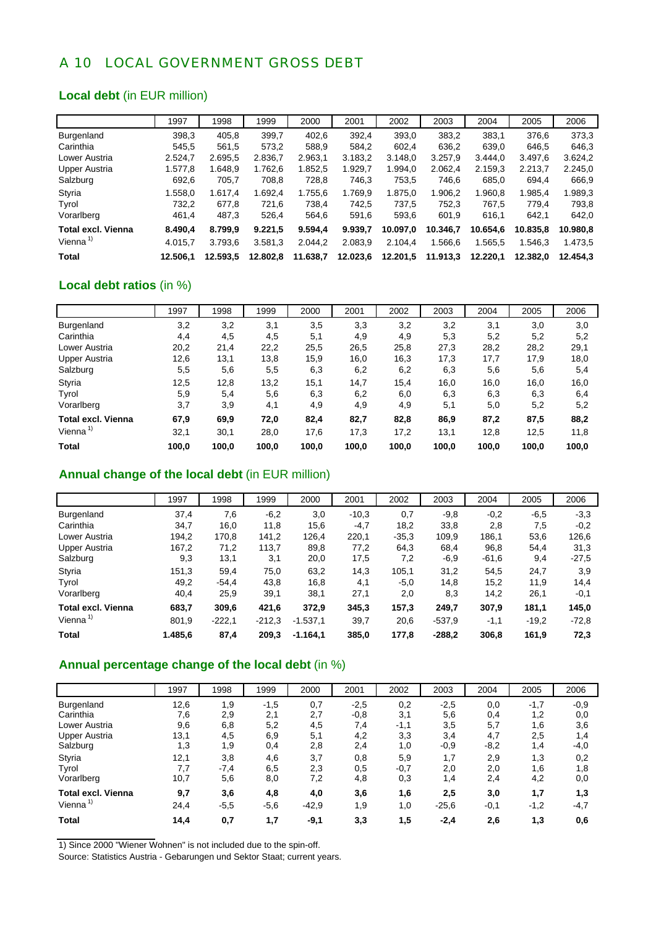### A 10 LOCAL GOVERNMENT GROSS DEBT

#### **Local debt** (in EUR million)

|                           | 1997     | 1998     | 1999     | 2000     | 2001     | 2002     | 2003     | 2004     | 2005     | 2006     |
|---------------------------|----------|----------|----------|----------|----------|----------|----------|----------|----------|----------|
| Burgenland                | 398.3    | 405,8    | 399.7    | 402.6    | 392.4    | 393,0    | 383,2    | 383.1    | 376.6    | 373.3    |
| Carinthia                 | 545.5    | 561,5    | 573,2    | 588.9    | 584.2    | 602.4    | 636.2    | 639,0    | 646.5    | 646.3    |
| Lower Austria             | 2.524.7  | 2.695.5  | 2.836.7  | 2.963.1  | 3.183.2  | 3.148.0  | 3.257.9  | 3.444.0  | 3.497.6  | 3.624.2  |
| <b>Upper Austria</b>      | 1.577.8  | 1.648.9  | 1.762.6  | 1.852.5  | 1.929.7  | 1.994.0  | 2.062.4  | 2.159.3  | 2.213.7  | 2.245.0  |
| Salzburg                  | 692,6    | 705,7    | 708,8    | 728,8    | 746,3    | 753,5    | 746.6    | 685,0    | 694.4    | 666,9    |
| Styria                    | 1.558,0  | 1.617.4  | 1.692.4  | 1.755.6  | 1.769.9  | 1.875.0  | 1.906.2  | 1.960.8  | 1.985.4  | 1.989,3  |
| Tyrol                     | 732.2    | 677.8    | 721.6    | 738.4    | 742.5    | 737.5    | 752.3    | 767.5    | 779.4    | 793,8    |
| Vorarlberg                | 461,4    | 487,3    | 526,4    | 564.6    | 591,6    | 593,6    | 601,9    | 616,1    | 642.1    | 642,0    |
| <b>Total excl. Vienna</b> | 8.490.4  | 8.799.9  | 9.221,5  | 9.594.4  | 9.939.7  | 10.097.0 | 10.346.7 | 10.654.6 | 10.835.8 | 10.980.8 |
| Vienna $1$                | 4.015.7  | 3.793.6  | 3.581,3  | 2.044.2  | 2.083,9  | 2.104.4  | 1.566.6  | 1.565.5  | 1.546.3  | 1.473.5  |
| Total                     | 12.506.1 | 12.593.5 | 12.802.8 | 11.638.7 | 12.023.6 | 12.201,5 | 11.913.3 | 12.220.1 | 12.382.0 | 12.454.3 |

### **Local debt ratios** (in %)

|                           | 1997  | 1998  | 1999  | 2000  | 2001  | 2002  | 2003  | 2004  | 2005  | 2006  |
|---------------------------|-------|-------|-------|-------|-------|-------|-------|-------|-------|-------|
| Burgenland                | 3,2   | 3,2   | 3,1   | 3,5   | 3,3   | 3,2   | 3,2   | 3,1   | 3,0   | 3,0   |
| Carinthia                 | 4,4   | 4,5   | 4,5   | 5,1   | 4,9   | 4,9   | 5,3   | 5,2   | 5,2   | 5,2   |
| Lower Austria             | 20,2  | 21,4  | 22,2  | 25,5  | 26,5  | 25,8  | 27,3  | 28,2  | 28,2  | 29,1  |
| Upper Austria             | 12,6  | 13,1  | 13,8  | 15,9  | 16,0  | 16,3  | 17,3  | 17,7  | 17,9  | 18,0  |
| Salzburg                  | 5,5   | 5,6   | 5,5   | 6,3   | 6,2   | 6,2   | 6,3   | 5,6   | 5,6   | 5,4   |
| Styria                    | 12,5  | 12,8  | 13,2  | 15,1  | 14,7  | 15,4  | 16,0  | 16,0  | 16,0  | 16,0  |
| Tyrol                     | 5,9   | 5,4   | 5,6   | 6,3   | 6,2   | 6,0   | 6,3   | 6,3   | 6,3   | 6,4   |
| Vorarlberg                | 3,7   | 3,9   | 4,1   | 4,9   | 4,9   | 4,9   | 5,1   | 5,0   | 5,2   | 5,2   |
| <b>Total excl. Vienna</b> | 67,9  | 69,9  | 72,0  | 82,4  | 82,7  | 82,8  | 86,9  | 87,2  | 87,5  | 88,2  |
| Vienna <sup>1)</sup>      | 32,1  | 30,1  | 28,0  | 17,6  | 17,3  | 17,2  | 13,1  | 12,8  | 12,5  | 11,8  |
| <b>Total</b>              | 100,0 | 100.0 | 100,0 | 100,0 | 100,0 | 100,0 | 100,0 | 100,0 | 100,0 | 100,0 |

### **Annual change of the local debt** (in EUR million)

|                           | 1997    | 1998     | 1999     | 2000       | 2001    | 2002    | 2003     | 2004    | 2005    | 2006    |
|---------------------------|---------|----------|----------|------------|---------|---------|----------|---------|---------|---------|
| <b>Burgenland</b>         | 37,4    | 7,6      | $-6,2$   | 3,0        | $-10,3$ | 0,7     | $-9,8$   | $-0,2$  | $-6,5$  | $-3,3$  |
| Carinthia                 | 34,7    | 16,0     | 11,8     | 15,6       | $-4,7$  | 18,2    | 33,8     | 2,8     | 7,5     | $-0,2$  |
| Lower Austria             | 194.2   | 170.8    | 141,2    | 126,4      | 220,1   | $-35.3$ | 109.9    | 186.1   | 53,6    | 126.6   |
| Upper Austria             | 167,2   | 71,2     | 113,7    | 89,8       | 77,2    | 64,3    | 68,4     | 96,8    | 54.4    | 31,3    |
| Salzburg                  | 9,3     | 13,1     | 3,1      | 20,0       | 17,5    | 7,2     | $-6,9$   | $-61,6$ | 9,4     | $-27.5$ |
| Styria                    | 151,3   | 59,4     | 75,0     | 63,2       | 14,3    | 105,1   | 31,2     | 54,5    | 24,7    | 3,9     |
| Tyrol                     | 49,2    | $-54.4$  | 43.8     | 16,8       | 4,1     | $-5,0$  | 14,8     | 15,2    | 11.9    | 14.4    |
| Vorarlberg                | 40,4    | 25,9     | 39,1     | 38,1       | 27,1    | 2,0     | 8,3      | 14,2    | 26,1    | $-0,1$  |
| <b>Total excl. Vienna</b> | 683,7   | 309,6    | 421,6    | 372,9      | 345,3   | 157,3   | 249,7    | 307,9   | 181,1   | 145,0   |
| Vienna $1$                | 801,9   | $-222.1$ | $-212.3$ | $-1.537,1$ | 39,7    | 20,6    | $-537.9$ | $-1,1$  | $-19,2$ | $-72,8$ |
| <b>Total</b>              | 1.485,6 | 87,4     | 209,3    | $-1.164,1$ | 385,0   | 177,8   | $-288.2$ | 306,8   | 161,9   | 72,3    |

### **Annual percentage change of the local debt** (in %)

|                           | 1997 | 1998   | 1999   | 2000    | 2001   | 2002   | 2003    | 2004   | 2005   | 2006   |
|---------------------------|------|--------|--------|---------|--------|--------|---------|--------|--------|--------|
| Burgenland                | 12,6 | 1,9    | $-1,5$ | 0,7     | $-2,5$ | 0,2    | $-2,5$  | 0,0    | $-1,7$ | $-0,9$ |
| Carinthia                 | 7,6  | 2,9    | 2,1    | 2,7     | $-0,8$ | 3,1    | 5,6     | 0,4    | 1,2    | 0,0    |
| Lower Austria             | 9,6  | 6,8    | 5,2    | 4,5     | 7,4    | $-1,1$ | 3,5     | 5,7    | 1,6    | 3,6    |
| <b>Upper Austria</b>      | 13,1 | 4,5    | 6,9    | 5,1     | 4,2    | 3,3    | 3,4     | 4,7    | 2,5    | 1,4    |
| Salzburg                  | 1,3  | 1,9    | 0,4    | 2,8     | 2,4    | 1,0    | $-0,9$  | $-8,2$ | 1,4    | $-4,0$ |
| Styria                    | 12,1 | 3,8    | 4,6    | 3,7     | 0,8    | 5,9    | 1,7     | 2,9    | 1,3    | 0,2    |
| Tyrol                     | 7,7  | $-7,4$ | 6,5    | 2,3     | 0,5    | $-0,7$ | 2,0     | 2,0    | 1,6    | 1,8    |
| Vorarlberg                | 10,7 | 5,6    | 8,0    | 7,2     | 4,8    | 0,3    | 1,4     | 2,4    | 4,2    | 0,0    |
| <b>Total excl. Vienna</b> | 9,7  | 3,6    | 4,8    | 4,0     | 3,6    | 1,6    | 2,5     | 3,0    | 1,7    | 1,3    |
| Vienna <sup>1)</sup>      | 24,4 | $-5,5$ | $-5,6$ | $-42.9$ | 1,9    | 1,0    | $-25,6$ | $-0,1$ | $-1,2$ | -4,7   |
| <b>Total</b>              | 14,4 | 0,7    | 1,7    | $-9,1$  | 3,3    | 1,5    | $-2,4$  | 2,6    | 1,3    | 0,6    |

1) Since 2000 "Wiener Wohnen" is not included due to the spin-off.

Source: Statistics Austria - Gebarungen und Sektor Staat; current years.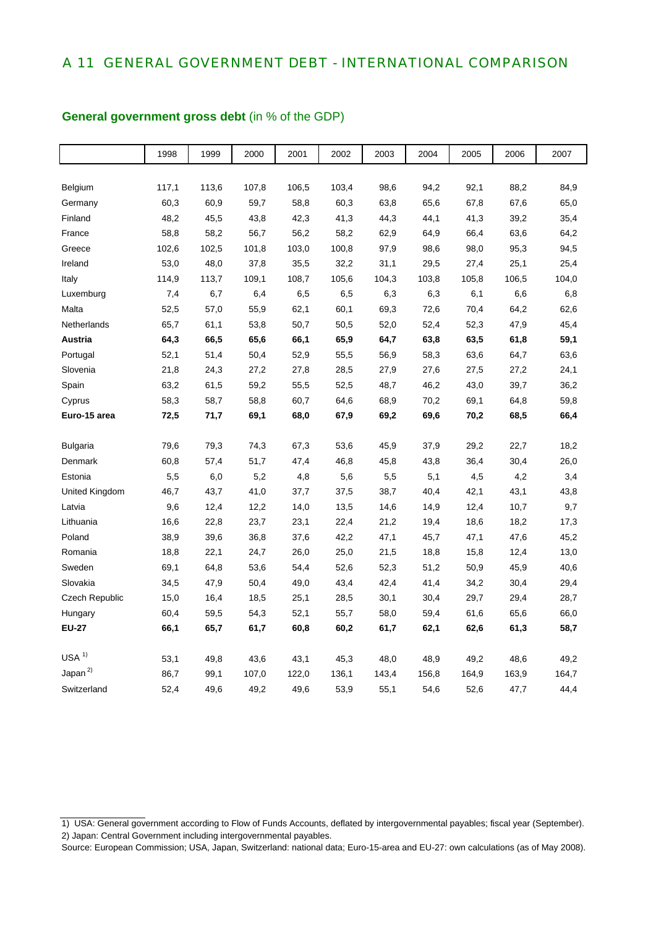### A 11 GENERAL GOVERNMENT DEBT - INTERNATIONAL COMPARISON

|                  | 1998  | 1999  | 2000  | 2001  | 2002  | 2003  | 2004  | 2005  | 2006  | 2007  |
|------------------|-------|-------|-------|-------|-------|-------|-------|-------|-------|-------|
|                  |       |       |       |       |       |       |       |       |       |       |
| Belgium          | 117,1 | 113,6 | 107,8 | 106,5 | 103,4 | 98,6  | 94,2  | 92,1  | 88,2  | 84,9  |
| Germany          | 60,3  | 60,9  | 59,7  | 58,8  | 60,3  | 63,8  | 65,6  | 67,8  | 67,6  | 65,0  |
| Finland          | 48,2  | 45,5  | 43,8  | 42,3  | 41,3  | 44,3  | 44,1  | 41,3  | 39,2  | 35,4  |
| France           | 58,8  | 58,2  | 56,7  | 56,2  | 58,2  | 62,9  | 64,9  | 66,4  | 63,6  | 64,2  |
| Greece           | 102,6 | 102,5 | 101,8 | 103,0 | 100,8 | 97,9  | 98,6  | 98,0  | 95,3  | 94,5  |
| Ireland          | 53,0  | 48,0  | 37,8  | 35,5  | 32,2  | 31,1  | 29,5  | 27,4  | 25,1  | 25,4  |
| Italy            | 114,9 | 113,7 | 109,1 | 108,7 | 105,6 | 104,3 | 103,8 | 105,8 | 106,5 | 104,0 |
| Luxemburg        | 7,4   | 6,7   | 6,4   | 6,5   | 6,5   | 6,3   | 6,3   | 6,1   | 6,6   | 6,8   |
| Malta            | 52,5  | 57,0  | 55,9  | 62,1  | 60,1  | 69,3  | 72,6  | 70,4  | 64,2  | 62,6  |
| Netherlands      | 65,7  | 61,1  | 53,8  | 50,7  | 50,5  | 52,0  | 52,4  | 52,3  | 47,9  | 45,4  |
| Austria          | 64,3  | 66,5  | 65,6  | 66,1  | 65,9  | 64,7  | 63,8  | 63,5  | 61,8  | 59,1  |
| Portugal         | 52,1  | 51,4  | 50,4  | 52,9  | 55,5  | 56,9  | 58,3  | 63,6  | 64,7  | 63,6  |
| Slovenia         | 21,8  | 24,3  | 27,2  | 27,8  | 28,5  | 27,9  | 27,6  | 27,5  | 27,2  | 24,1  |
| Spain            | 63,2  | 61,5  | 59,2  | 55,5  | 52,5  | 48,7  | 46,2  | 43,0  | 39,7  | 36,2  |
| Cyprus           | 58,3  | 58,7  | 58,8  | 60,7  | 64,6  | 68,9  | 70,2  | 69,1  | 64,8  | 59,8  |
| Euro-15 area     | 72,5  | 71,7  | 69,1  | 68,0  | 67,9  | 69,2  | 69,6  | 70,2  | 68,5  | 66,4  |
|                  |       |       |       |       |       |       |       |       |       |       |
| <b>Bulgaria</b>  | 79,6  | 79,3  | 74,3  | 67,3  | 53,6  | 45,9  | 37,9  | 29,2  | 22,7  | 18,2  |
| Denmark          | 60,8  | 57,4  | 51,7  | 47,4  | 46,8  | 45,8  | 43,8  | 36,4  | 30,4  | 26,0  |
| Estonia          | 5,5   | 6,0   | 5,2   | 4,8   | 5,6   | 5,5   | 5,1   | 4,5   | 4,2   | 3,4   |
| United Kingdom   | 46,7  | 43,7  | 41,0  | 37,7  | 37,5  | 38,7  | 40,4  | 42,1  | 43,1  | 43,8  |
| Latvia           | 9,6   | 12,4  | 12,2  | 14,0  | 13,5  | 14,6  | 14,9  | 12,4  | 10,7  | 9,7   |
| Lithuania        | 16,6  | 22,8  | 23,7  | 23,1  | 22,4  | 21,2  | 19,4  | 18,6  | 18,2  | 17,3  |
| Poland           | 38,9  | 39,6  | 36,8  | 37,6  | 42,2  | 47,1  | 45,7  | 47,1  | 47,6  | 45,2  |
| Romania          | 18,8  | 22,1  | 24,7  | 26,0  | 25,0  | 21,5  | 18,8  | 15,8  | 12,4  | 13,0  |
| Sweden           | 69,1  | 64,8  | 53,6  | 54,4  | 52,6  | 52,3  | 51,2  | 50,9  | 45,9  | 40,6  |
| Slovakia         | 34,5  | 47,9  | 50,4  | 49,0  | 43,4  | 42,4  | 41,4  | 34,2  | 30,4  | 29,4  |
| Czech Republic   | 15,0  | 16,4  | 18,5  | 25,1  | 28,5  | 30,1  | 30,4  | 29,7  | 29,4  | 28,7  |
| Hungary          | 60,4  | 59,5  | 54,3  | 52,1  | 55,7  | 58,0  | 59,4  | 61,6  | 65,6  | 66,0  |
| <b>EU-27</b>     | 66,1  | 65,7  | 61,7  | 60,8  | 60,2  | 61,7  | 62,1  | 62,6  | 61,3  | 58,7  |
| USA <sup>1</sup> |       |       |       |       |       |       |       |       |       |       |
| Japan $^{2)}$    | 53,1  | 49,8  | 43,6  | 43,1  | 45,3  | 48,0  | 48,9  | 49,2  | 48,6  | 49,2  |
|                  | 86,7  | 99,1  | 107,0 | 122,0 | 136,1 | 143,4 | 156,8 | 164,9 | 163,9 | 164,7 |
| Switzerland      | 52,4  | 49,6  | 49,2  | 49,6  | 53,9  | 55,1  | 54,6  | 52,6  | 47,7  | 44,4  |

#### **General government gross debt** (in % of the GDP)

<sup>1)</sup> USA: General government according to Flow of Funds Accounts, deflated by intergovernmental payables; fiscal year (September). 2) Japan: Central Government including intergovernmental payables.

Source: European Commission; USA, Japan, Switzerland: national data; Euro-15-area and EU-27: own calculations (as of May 2008).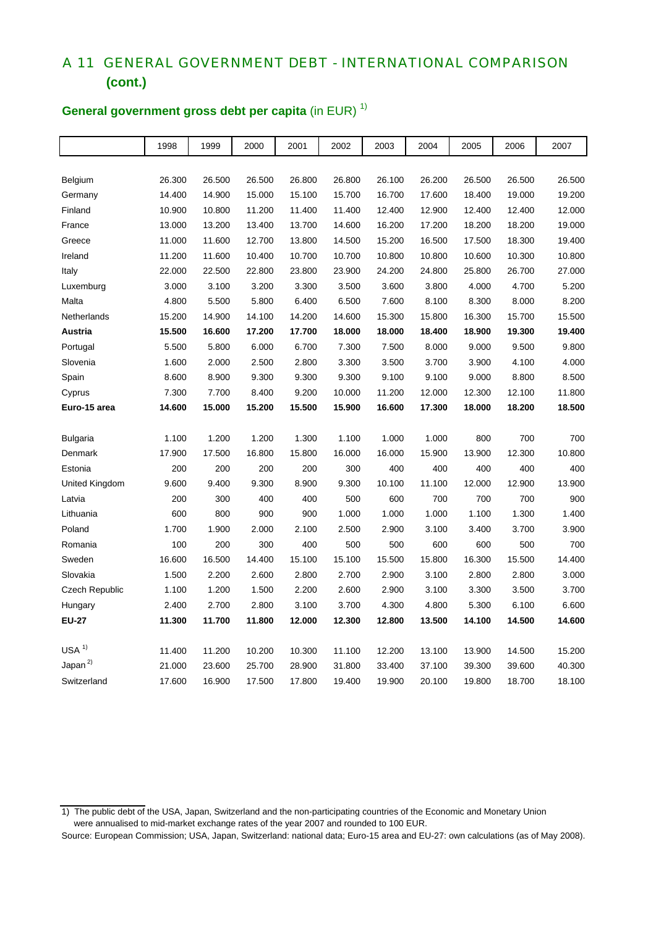## A 11 GENERAL GOVERNMENT DEBT - INTERNATIONAL COMPARISON  **(cont.)**

|                  | 1998   | 1999   | 2000   | 2001   | 2002   | 2003   | 2004   | 2005   | 2006   | 2007   |
|------------------|--------|--------|--------|--------|--------|--------|--------|--------|--------|--------|
|                  |        |        |        |        |        |        |        |        |        |        |
| Belgium          | 26.300 | 26.500 | 26.500 | 26.800 | 26.800 | 26.100 | 26.200 | 26.500 | 26.500 | 26.500 |
| Germany          | 14.400 | 14.900 | 15.000 | 15.100 | 15.700 | 16.700 | 17.600 | 18.400 | 19.000 | 19.200 |
| Finland          | 10.900 | 10.800 | 11.200 | 11.400 | 11.400 | 12.400 | 12.900 | 12.400 | 12.400 | 12.000 |
| France           | 13.000 | 13.200 | 13.400 | 13.700 | 14.600 | 16.200 | 17.200 | 18.200 | 18.200 | 19.000 |
| Greece           | 11.000 | 11.600 | 12.700 | 13.800 | 14.500 | 15.200 | 16.500 | 17.500 | 18.300 | 19.400 |
| Ireland          | 11.200 | 11.600 | 10.400 | 10.700 | 10.700 | 10.800 | 10.800 | 10.600 | 10.300 | 10.800 |
| Italy            | 22.000 | 22.500 | 22.800 | 23.800 | 23.900 | 24.200 | 24.800 | 25.800 | 26.700 | 27.000 |
| Luxemburg        | 3.000  | 3.100  | 3.200  | 3.300  | 3.500  | 3.600  | 3.800  | 4.000  | 4.700  | 5.200  |
| Malta            | 4.800  | 5.500  | 5.800  | 6.400  | 6.500  | 7.600  | 8.100  | 8.300  | 8.000  | 8.200  |
| Netherlands      | 15.200 | 14.900 | 14.100 | 14.200 | 14.600 | 15.300 | 15.800 | 16.300 | 15.700 | 15.500 |
| Austria          | 15.500 | 16.600 | 17.200 | 17.700 | 18.000 | 18.000 | 18.400 | 18.900 | 19.300 | 19.400 |
| Portugal         | 5.500  | 5.800  | 6.000  | 6.700  | 7.300  | 7.500  | 8.000  | 9.000  | 9.500  | 9.800  |
| Slovenia         | 1.600  | 2.000  | 2.500  | 2.800  | 3.300  | 3.500  | 3.700  | 3.900  | 4.100  | 4.000  |
| Spain            | 8.600  | 8.900  | 9.300  | 9.300  | 9.300  | 9.100  | 9.100  | 9.000  | 8.800  | 8.500  |
| Cyprus           | 7.300  | 7.700  | 8.400  | 9.200  | 10.000 | 11.200 | 12.000 | 12.300 | 12.100 | 11.800 |
| Euro-15 area     | 14.600 | 15.000 | 15.200 | 15.500 | 15.900 | 16.600 | 17.300 | 18.000 | 18.200 | 18.500 |
|                  |        |        |        |        |        |        |        |        |        |        |
| <b>Bulgaria</b>  | 1.100  | 1.200  | 1.200  | 1.300  | 1.100  | 1.000  | 1.000  | 800    | 700    | 700    |
| Denmark          | 17.900 | 17.500 | 16.800 | 15.800 | 16.000 | 16.000 | 15.900 | 13.900 | 12.300 | 10.800 |
| Estonia          | 200    | 200    | 200    | 200    | 300    | 400    | 400    | 400    | 400    | 400    |
| United Kingdom   | 9.600  | 9.400  | 9.300  | 8.900  | 9.300  | 10.100 | 11.100 | 12.000 | 12.900 | 13.900 |
| Latvia           | 200    | 300    | 400    | 400    | 500    | 600    | 700    | 700    | 700    | 900    |
| Lithuania        | 600    | 800    | 900    | 900    | 1.000  | 1.000  | 1.000  | 1.100  | 1.300  | 1.400  |
| Poland           | 1.700  | 1.900  | 2.000  | 2.100  | 2.500  | 2.900  | 3.100  | 3.400  | 3.700  | 3.900  |
| Romania          | 100    | 200    | 300    | 400    | 500    | 500    | 600    | 600    | 500    | 700    |
| Sweden           | 16.600 | 16.500 | 14.400 | 15.100 | 15.100 | 15.500 | 15.800 | 16.300 | 15.500 | 14.400 |
| Slovakia         | 1.500  | 2.200  | 2.600  | 2.800  | 2.700  | 2.900  | 3.100  | 2.800  | 2.800  | 3.000  |
| Czech Republic   | 1.100  | 1.200  | 1.500  | 2.200  | 2.600  | 2.900  | 3.100  | 3.300  | 3.500  | 3.700  |
| Hungary          | 2.400  | 2.700  | 2.800  | 3.100  | 3.700  | 4.300  | 4.800  | 5.300  | 6.100  | 6.600  |
| <b>EU-27</b>     | 11.300 | 11.700 | 11.800 | 12.000 | 12.300 | 12.800 | 13.500 | 14.100 | 14.500 | 14.600 |
|                  |        |        |        |        |        |        |        |        |        |        |
| USA <sup>1</sup> | 11.400 | 11.200 | 10.200 | 10.300 | 11.100 | 12.200 | 13.100 | 13.900 | 14.500 | 15.200 |
| Japan $^{2)}$    | 21.000 | 23.600 | 25.700 | 28.900 | 31.800 | 33.400 | 37.100 | 39.300 | 39.600 | 40.300 |
| Switzerland      | 17.600 | 16.900 | 17.500 | 17.800 | 19.400 | 19.900 | 20.100 | 19.800 | 18.700 | 18.100 |

## **General government gross debt per capita** (in EUR)<sup>1)</sup>

<sup>1)</sup> The public debt of the USA, Japan, Switzerland and the non-participating countries of the Economic and Monetary Union

were annualised to mid-market exchange rates of the year 2007 and rounded to 100 EUR.

Source: European Commission; USA, Japan, Switzerland: national data; Euro-15 area and EU-27: own calculations (as of May 2008).